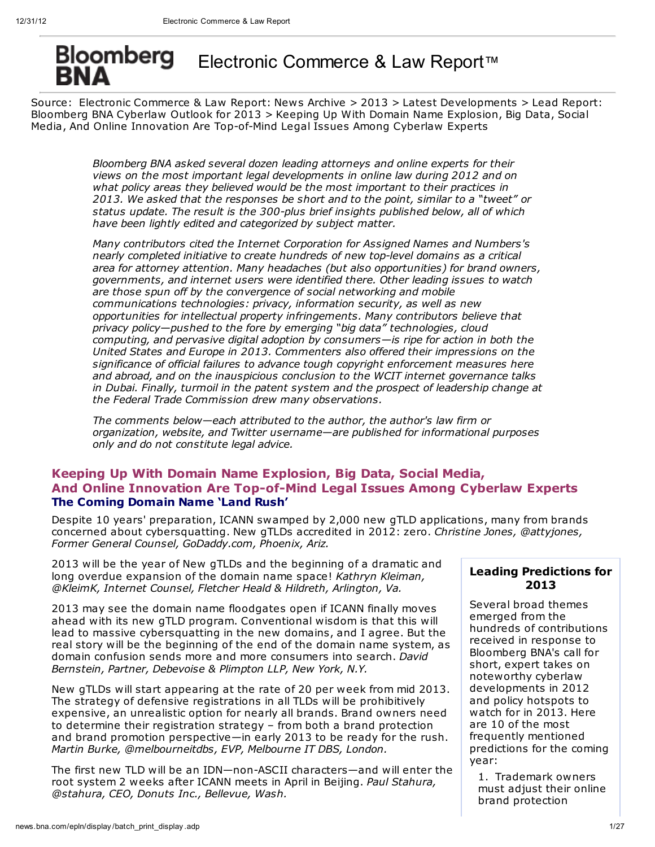# Bloomberg Electronic Commerce & Law Report™

Source: Electronic Commerce & Law Report: News Archive > 2013 > Latest Developments > Lead Report: Bloomberg BNA Cyberlaw Outlook for 2013 > Keeping Up With Domain Name Explosion, Big Data, Social Media, And Online Innovation Are Top-of-Mind Legal Issues Among Cyberlaw Experts

> *Bloomberg BNA asked several dozen leading attorneys and online experts for their views on the most important legal developments in online law during 2012 and on what policy areas they believed would be the most important to their practices in 2013. We asked that the responses be short and to the point, similar to a "tweet" or status update. The result is the 300-plus brief insights published below, all of which have been lightly edited and categorized by subject matter.*

*Many contributors cited the Internet Corporation for Assigned Names and Numbers's nearly completed initiative to create hundreds of new top-level domains as a critical area for attorney attention. Many headaches (but also opportunities) for brand owners, governments, and internet users were identified there. Other leading issues to watch are those spun off by the convergence of social networking and mobile communications technologies: privacy, information security, as well as new opportunities for intellectual property infringements. Many contributors believe that privacy policy—pushed to the fore by emerging "big data" technologies, cloud computing, and pervasive digital adoption by consumers—is ripe for action in both the United States and Europe in 2013. Commenters also offered their impressions on the significance of official failures to advance tough copyright enforcement measures here and abroad, and on the inauspicious conclusion to the WCIT internet governance talks in Dubai. Finally, turmoil in the patent system and the prospect of leadership change at the Federal Trade Commission drew many observations.*

*The comments below—each attributed to the author, the author's law firm or organization, website, and Twitter username—are published for informational purposes only and do not constitute legal advice.*

# **Keeping Up With Domain Name Explosion, Big Data, Social Media, And Online Innovation Are Top-of-Mind Legal Issues Among Cyberlaw Experts The Coming Domain Name 'Land Rush'**

Despite 10 years' preparation, ICANN swamped by 2,000 new gTLD applications, many from brands concerned about cybersquatting. New gTLDs accredited in 2012: zero. *Christine Jones, @attyjones, Former General Counsel, GoDaddy.com, Phoenix, Ariz.*

2013 will be the year of New gTLDs and the beginning of a dramatic and long overdue expansion of the domain name space! *Kathryn Kleiman, @KleimK, Internet Counsel, Fletcher Heald & Hildreth, Arlington, Va.*

2013 may see the domain name floodgates open if ICANN finally moves ahead with its new gTLD program. Conventional wisdom is that this will lead to massive cybersquatting in the new domains, and I agree. But the real story will be the beginning of the end of the domain name system, as domain confusion sends more and more consumers into search. *David Bernstein, Partner, Debevoise & Plimpton LLP, New York, N.Y.*

New gTLDs will start appearing at the rate of 20 per week from mid 2013. The strategy of defensive registrations in all TLDs will be prohibitively expensive, an unrealistic option for nearly all brands. Brand owners need to determine their registration strategy – from both a brand protection and brand promotion perspective—in early 2013 to be ready for the rush. *Martin Burke, @melbourneitdbs, EVP, Melbourne IT DBS, London.*

The first new TLD will be an IDN—non-ASCII characters—and will enter the root system 2 weeks after ICANN meets in April in Beijing. *Paul Stahura, @stahura, CEO, Donuts Inc., Bellevue, Wash.*

# **Leading Predictions for 2013**

Several broad themes emerged from the hundreds of contributions received in response to Bloomberg BNA's call for short, expert takes on noteworthy cyberlaw developments in 2012 and policy hotspots to watch for in 2013. Here are 10 of the most frequently mentioned predictions for the coming year:

1. Trademark owners must adjust their online brand protection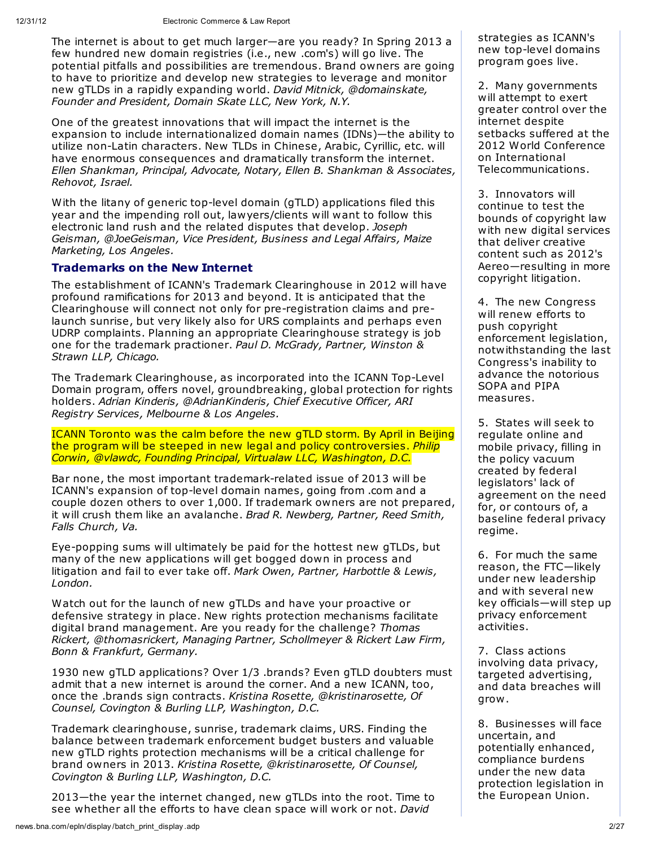The internet is about to get much larger—are you ready? In Spring 2013 a few hundred new domain registries (i.e., new .com's) will go live. The potential pitfalls and possibilities are tremendous. Brand owners are going to have to prioritize and develop new strategies to leverage and monitor new gTLDs in a rapidly expanding world. *David Mitnick, @domainskate, Founder and President, Domain Skate LLC, New York, N.Y.*

One of the greatest innovations that will impact the internet is the expansion to include internationalized domain names (IDNs)—the ability to utilize non-Latin characters. New TLDs in Chinese, Arabic, Cyrillic, etc. will have enormous consequences and dramatically transform the internet. *Ellen Shankman, Principal, Advocate, Notary, Ellen B. Shankman & Associates, Rehovot, Israel.*

With the litany of generic top-level domain (gTLD) applications filed this year and the impending roll out, lawyers/clients will want to follow this electronic land rush and the related disputes that develop. *Joseph Geisman, @JoeGeisman, Vice President, Business and Legal Affairs, Maize Marketing, Los Angeles.*

# **Trademarks on the New Internet**

The establishment of ICANN's Trademark Clearinghouse in 2012 will have profound ramifications for 2013 and beyond. It is anticipated that the Clearinghouse will connect not only for pre-registration claims and prelaunch sunrise, but very likely also for URS complaints and perhaps even UDRP complaints. Planning an appropriate Clearinghouse strategy is job one for the trademark practioner. *Paul D. McGrady, Partner, Winston & Strawn LLP, Chicago.*

The Trademark Clearinghouse, as incorporated into the ICANN Top-Level Domain program, offers novel, groundbreaking, global protection for rights holders. *Adrian Kinderis, @AdrianKinderis, Chief Executive Officer, ARI Registry Services, Melbourne & Los Angeles.*

ICANN Toronto was the calm before the new gTLD storm. By April in Beijing the program will be steeped in new legal and policy controversies. *Philip Corwin, @vlawdc, Founding Principal, Virtualaw LLC, Washington, D.C.*

Bar none, the most important trademark-related issue of 2013 will be ICANN's expansion of top-level domain names, going from .com and a couple dozen others to over 1,000. If trademark owners are not prepared, it will crush them like an avalanche. *Brad R. Newberg, Partner, Reed Smith, Falls Church, Va.*

Eye-popping sums will ultimately be paid for the hottest new gTLDs, but many of the new applications will get bogged down in process and litigation and fail to ever take off. *Mark Owen, Partner, Harbottle & Lewis, London.*

Watch out for the launch of new gTLDs and have your proactive or defensive strategy in place. New rights protection mechanisms facilitate digital brand management. Are you ready for the challenge? *Thomas Rickert, @thomasrickert, Managing Partner, Schollmeyer & Rickert Law Firm, Bonn & Frankfurt, Germany.*

1930 new gTLD applications? Over 1/3 .brands? Even gTLD doubters must admit that a new internet is around the corner. And a new ICANN, too, once the .brands sign contracts. *Kristina Rosette, @kristinarosette, Of Counsel, Covington & Burling LLP, Washington, D.C.*

Trademark clearinghouse, sunrise, trademark claims, URS. Finding the balance between trademark enforcement budget busters and valuable new gTLD rights protection mechanisms will be a critical challenge for brand owners in 2013. *Kristina Rosette, @kristinarosette, Of Counsel, Covington & Burling LLP, Washington, D.C.*

2013—the year the internet changed, new gTLDs into the root. Time to see whether all the efforts to have clean space will work or not. *David*

strategies as ICANN's new top-level domains program goes live.

2. Many governments will attempt to exert greater control over the internet despite setbacks suffered at the 2012 World Conference on International Telecommunications.

3. Innovators will continue to test the bounds of copyright law with new digital services that deliver creative content such as 2012's Aereo—resulting in more copyright litigation.

4. The new Congress will renew efforts to push copyright enforcement legislation, notwithstanding the last Congress's inability to advance the notorious SOPA and PIPA measures.

5. States will seek to regulate online and mobile privacy, filling in the policy vacuum created by federal legislators' lack of agreement on the need for, or contours of, a baseline federal privacy regime.

6. For much the same reason, the FTC—likely under new leadership and with several new key officials—will step up privacy enforcement activities.

7. Class actions involving data privacy, targeted advertising, and data breaches will grow.

8. Businesses will face uncertain, and potentially enhanced, compliance burdens under the new data protection legislation in the European Union.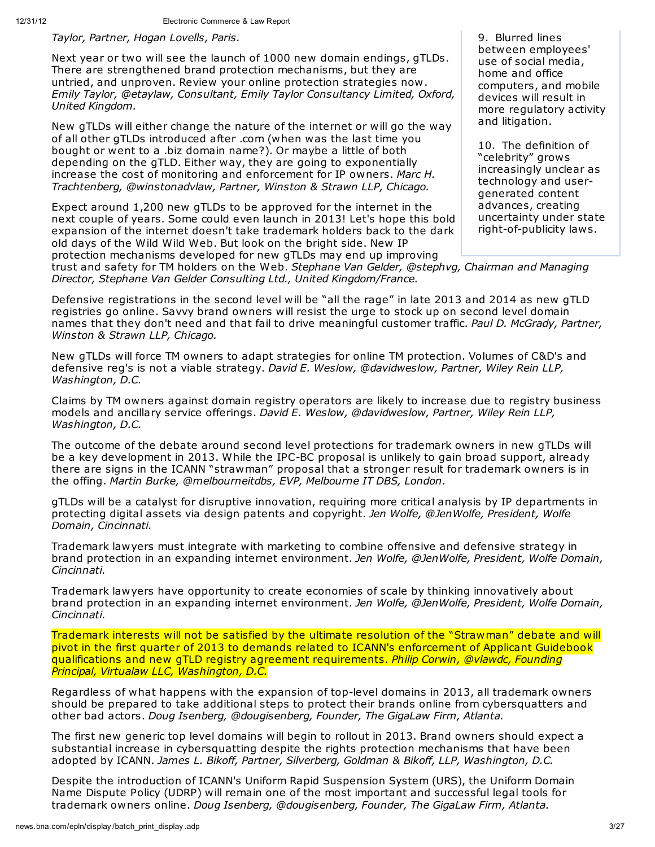*Taylor, Partner, Hogan Lovells, Paris.*

Next year or two will see the launch of 1000 new domain endings, gTLDs. There are strengthened brand protection mechanisms, but they are untried, and unproven. Review your online protection strategies now. *Emily Taylor, @etaylaw, Consultant, Emily Taylor Consultancy Limited, Oxford, United Kingdom.*

New gTLDs will either change the nature of the internet or will go the way of all other gTLDs introduced after .com (when was the last time you bought or went to a .biz domain name?). Or maybe a little of both depending on the gTLD. Either way, they are going to exponentially increase the cost of monitoring and enforcement for IP owners. *Marc H. Trachtenberg, @winstonadvlaw, Partner, Winston & Strawn LLP, Chicago.*

Expect around 1,200 new gTLDs to be approved for the internet in the next couple of years. Some could even launch in 2013! Let's hope this bold expansion of the internet doesn't take trademark holders back to the dark old days of the Wild Wild Web. But look on the bright side. New IP protection mechanisms developed for new gTLDs may end up improving

9. Blurred lines between employees' use of social media, home and office computers, and mobile devices will result in more regulatory activity and litigation.

10. The definition of "celebrity" grows increasingly unclear as technology and usergenerated content advances, creating uncertainty under state right-of-publicity laws.

trust and safety for TM holders on the Web. *Stephane Van Gelder, @stephvg, Chairman and Managing Director, Stephane Van Gelder Consulting Ltd., United Kingdom/France.*

Defensive registrations in the second level will be "all the rage" in late 2013 and 2014 as new gTLD registries go online. Savvy brand owners will resist the urge to stock up on second level domain names that they don't need and that fail to drive meaningful customer traffic. *Paul D. McGrady, Partner, Winston & Strawn LLP, Chicago.*

New gTLDs will force TM owners to adapt strategies for online TM protection. Volumes of C&D's and defensive reg's is not a viable strategy. *David E. Weslow, @davidweslow, Partner, Wiley Rein LLP, Washington, D.C.*

Claims by TM owners against domain registry operators are likely to increase due to registry business models and ancillary service offerings. *David E. Weslow, @davidweslow, Partner, Wiley Rein LLP, Washington, D.C.*

The outcome of the debate around second level protections for trademark owners in new gTLDs will be a key development in 2013. While the IPC-BC proposal is unlikely to gain broad support, already there are signs in the ICANN "strawman" proposal that a stronger result for trademark owners is in the offing. *Martin Burke, @melbourneitdbs, EVP, Melbourne IT DBS, London.*

gTLDs will be a catalyst for disruptive innovation, requiring more critical analysis by IP departments in protecting digital assets via design patents and copyright. *Jen Wolfe, @JenWolfe, President, Wolfe Domain, Cincinnati.*

Trademark lawyers must integrate with marketing to combine offensive and defensive strategy in brand protection in an expanding internet environment. *Jen Wolfe, @JenWolfe, President, Wolfe Domain, Cincinnati.*

Trademark lawyers have opportunity to create economies of scale by thinking innovatively about brand protection in an expanding internet environment. *Jen Wolfe, @JenWolfe, President, Wolfe Domain, Cincinnati.*

Trademark interests will not be satisfied by the ultimate resolution of the "Strawman" debate and will pivot in the first quarter of 2013 to demands related to ICANN's enforcement of Applicant Guidebook qualifications and new gTLD registry agreement requirements. *Philip Corwin, @vlawdc, Founding Principal, Virtualaw LLC, Washington, D.C.*

Regardless of what happens with the expansion of top-level domains in 2013, all trademark owners should be prepared to take additional steps to protect their brands online from cybersquatters and other bad actors. *Doug Isenberg, @dougisenberg, Founder, The GigaLaw Firm, Atlanta.*

The first new generic top level domains will begin to rollout in 2013. Brand owners should expect a substantial increase in cybersquatting despite the rights protection mechanisms that have been adopted by ICANN. *James L. Bikoff, Partner, Silverberg, Goldman & Bikoff, LLP, Washington, D.C.*

Despite the introduction of ICANN's Uniform Rapid Suspension System (URS), the Uniform Domain Name Dispute Policy (UDRP) will remain one of the most important and successful legal tools for trademark owners online. *Doug Isenberg, @dougisenberg, Founder, The GigaLaw Firm, Atlanta.*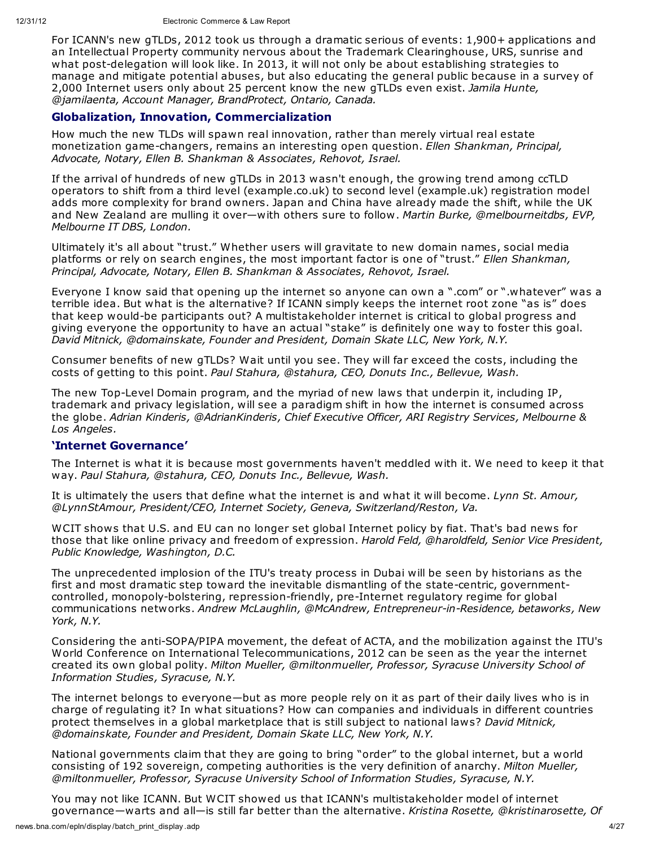For ICANN's new gTLDs, 2012 took us through a dramatic serious of events: 1,900+ applications and an Intellectual Property community nervous about the Trademark Clearinghouse, URS, sunrise and what post-delegation will look like. In 2013, it will not only be about establishing strategies to manage and mitigate potential abuses, but also educating the general public because in a survey of 2,000 Internet users only about 25 percent know the new gTLDs even exist. *Jamila Hunte, @jamilaenta, Account Manager, BrandProtect, Ontario, Canada.*

## **Globalization, Innovation, Commercialization**

How much the new TLDs will spawn real innovation, rather than merely virtual real estate monetization game-changers, remains an interesting open question. *Ellen Shankman, Principal, Advocate, Notary, Ellen B. Shankman & Associates, Rehovot, Israel.*

If the arrival of hundreds of new gTLDs in 2013 wasn't enough, the growing trend among ccTLD operators to shift from a third level (example.co.uk) to second level (example.uk) registration model adds more complexity for brand owners. Japan and China have already made the shift, while the UK and New Zealand are mulling it over—with others sure to follow. *Martin Burke, @melbourneitdbs, EVP, Melbourne IT DBS, London.*

Ultimately it's all about "trust." Whether users will gravitate to new domain names, social media platforms or rely on search engines, the most important factor is one of "trust." *Ellen Shankman, Principal, Advocate, Notary, Ellen B. Shankman & Associates, Rehovot, Israel.*

Everyone I know said that opening up the internet so anyone can own a ".com" or ".whatever" was a terrible idea. But what is the alternative? If ICANN simply keeps the internet root zone "as is" does that keep would-be participants out? A multistakeholder internet is critical to global progress and giving everyone the opportunity to have an actual "stake" is definitely one way to foster this goal. *David Mitnick, @domainskate, Founder and President, Domain Skate LLC, New York, N.Y.*

Consumer benefits of new gTLDs? Wait until you see. They will far exceed the costs, including the costs of getting to this point. *Paul Stahura, @stahura, CEO, Donuts Inc., Bellevue, Wash.*

The new Top-Level Domain program, and the myriad of new laws that underpin it, including IP, trademark and privacy legislation, will see a paradigm shift in how the internet is consumed across the globe. *Adrian Kinderis, @AdrianKinderis, Chief Executive Officer, ARI Registry Services, Melbourne & Los Angeles.*

## **'Internet Governance'**

The Internet is what it is because most governments haven't meddled with it. We need to keep it that way. *Paul Stahura, @stahura, CEO, Donuts Inc., Bellevue, Wash.*

It is ultimately the users that define what the internet is and what it will become. *Lynn St. Amour, @LynnStAmour, President/CEO, Internet Society, Geneva, Switzerland/Reston, Va.*

WCIT shows that U.S. and EU can no longer set global Internet policy by fiat. That's bad news for those that like online privacy and freedom of expression. *Harold Feld, @haroldfeld, Senior Vice President, Public Knowledge, Washington, D.C.*

The unprecedented implosion of the ITU's treaty process in Dubai will be seen by historians as the first and most dramatic step toward the inevitable dismantling of the state-centric, governmentcontrolled, monopoly-bolstering, repression-friendly, pre-Internet regulatory regime for global communications networks. *Andrew McLaughlin, @McAndrew, Entrepreneur-in-Residence, betaworks, New York, N.Y.*

Considering the anti-SOPA/PIPA movement, the defeat of ACTA, and the mobilization against the ITU's World Conference on International Telecommunications, 2012 can be seen as the year the internet created its own global polity. *Milton Mueller, @miltonmueller, Professor, Syracuse University School of Information Studies, Syracuse, N.Y.*

The internet belongs to everyone—but as more people rely on it as part of their daily lives who is in charge of regulating it? In what situations? How can companies and individuals in different countries protect themselves in a global marketplace that is still subject to national laws? *David Mitnick, @domainskate, Founder and President, Domain Skate LLC, New York, N.Y.*

National governments claim that they are going to bring "order" to the global internet, but a world consisting of 192 sovereign, competing authorities is the very definition of anarchy. *Milton Mueller, @miltonmueller, Professor, Syracuse University School of Information Studies, Syracuse, N.Y.*

You may not like ICANN. But WCIT showed us that ICANN's multistakeholder model of internet governance—warts and all—is still far better than the alternative. *Kristina Rosette, @kristinarosette, Of*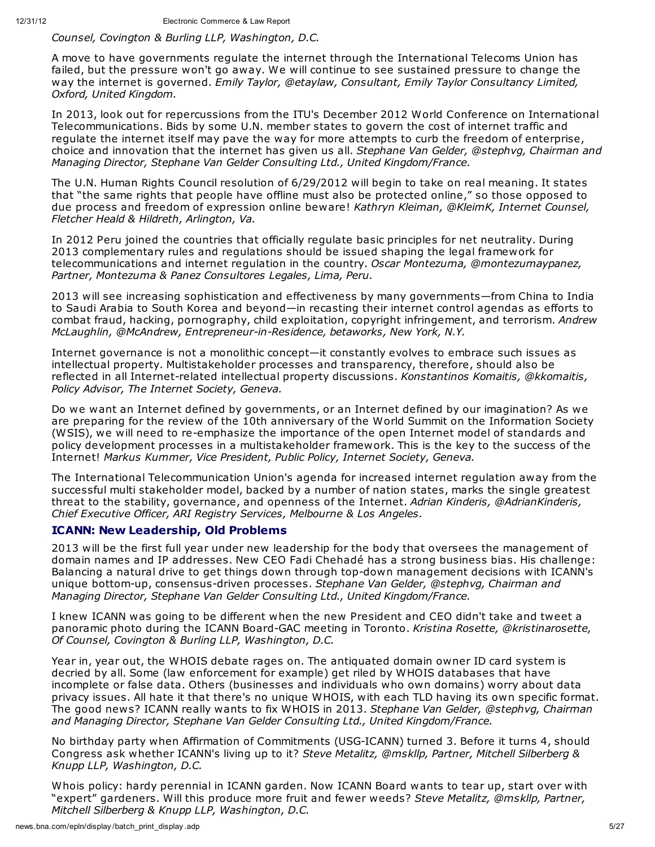#### *Counsel, Covington & Burling LLP, Washington, D.C.*

A move to have governments regulate the internet through the International Telecoms Union has failed, but the pressure won't go away. We will continue to see sustained pressure to change the way the internet is governed. *Emily Taylor, @etaylaw, Consultant, Emily Taylor Consultancy Limited, Oxford, United Kingdom.*

In 2013, look out for repercussions from the ITU's December 2012 World Conference on International Telecommunications. Bids by some U.N. member states to govern the cost of internet traffic and regulate the internet itself may pave the way for more attempts to curb the freedom of enterprise, choice and innovation that the internet has given us all. *Stephane Van Gelder, @stephvg, Chairman and Managing Director, Stephane Van Gelder Consulting Ltd., United Kingdom/France.*

The U.N. Human Rights Council resolution of 6/29/2012 will begin to take on real meaning. It states that "the same rights that people have offline must also be protected online," so those opposed to due process and freedom of expression online beware! *Kathryn Kleiman, @KleimK, Internet Counsel, Fletcher Heald & Hildreth, Arlington, Va.*

In 2012 Peru joined the countries that officially regulate basic principles for net neutrality. During 2013 complementary rules and regulations should be issued shaping the legal framework for telecommunications and internet regulation in the country. *Oscar Montezuma, @montezumaypanez, Partner, Montezuma & Panez Consultores Legales, Lima, Peru.*

2013 will see increasing sophistication and effectiveness by many governments—from China to India to Saudi Arabia to South Korea and beyond—in recasting their internet control agendas as efforts to combat fraud, hacking, pornography, child exploitation, copyright infringement, and terrorism. *Andrew McLaughlin, @McAndrew, Entrepreneur-in-Residence, betaworks, New York, N.Y.*

Internet governance is not a monolithic concept—it constantly evolves to embrace such issues as intellectual property. Multistakeholder processes and transparency, therefore, should also be reflected in all Internet-related intellectual property discussions. *Konstantinos Komaitis, @kkomaitis, Policy Advisor, The Internet Society, Geneva.*

Do we want an Internet defined by governments, or an Internet defined by our imagination? As we are preparing for the review of the 10th anniversary of the World Summit on the Information Society (WSIS), we will need to re-emphasize the importance of the open Internet model of standards and policy development processes in a multistakeholder framework. This is the key to the success of the Internet! *Markus Kummer, Vice President, Public Policy, Internet Society, Geneva.*

The International Telecommunication Union's agenda for increased internet regulation away from the successful multi stakeholder model, backed by a number of nation states, marks the single greatest threat to the stability, governance, and openness of the Internet. *Adrian Kinderis, @AdrianKinderis, Chief Executive Officer, ARI Registry Services, Melbourne & Los Angeles.*

## **ICANN: New Leadership, Old Problems**

2013 will be the first full year under new leadership for the body that oversees the management of domain names and IP addresses. New CEO Fadi Chehadé has a strong business bias. His challenge: Balancing a natural drive to get things down through top-down management decisions with ICANN's unique bottom-up, consensus-driven processes. *Stephane Van Gelder, @stephvg, Chairman and Managing Director, Stephane Van Gelder Consulting Ltd., United Kingdom/France.*

I knew ICANN was going to be different when the new President and CEO didn't take and tweet a panoramic photo during the ICANN Board-GAC meeting in Toronto. *Kristina Rosette, @kristinarosette, Of Counsel, Covington & Burling LLP, Washington, D.C.*

Year in, year out, the WHOIS debate rages on. The antiquated domain owner ID card system is decried by all. Some (law enforcement for example) get riled by WHOIS databases that have incomplete or false data. Others (businesses and individuals who own domains) worry about data privacy issues. All hate it that there's no unique WHOIS, with each TLD having its own specific format. The good news? ICANN really wants to fix WHOIS in 2013. *Stephane Van Gelder, @stephvg, Chairman and Managing Director, Stephane Van Gelder Consulting Ltd., United Kingdom/France.*

No birthday party when Affirmation of Commitments (USG-ICANN) turned 3. Before it turns 4, should Congress ask whether ICANN's living up to it? *Steve Metalitz, @mskllp, Partner, Mitchell Silberberg & Knupp LLP, Washington, D.C.*

Whois policy: hardy perennial in ICANN garden. Now ICANN Board wants to tear up, start over with "expert" gardeners. Will this produce more fruit and fewer weeds? *Steve Metalitz, @mskllp, Partner, Mitchell Silberberg & Knupp LLP, Washington, D.C.*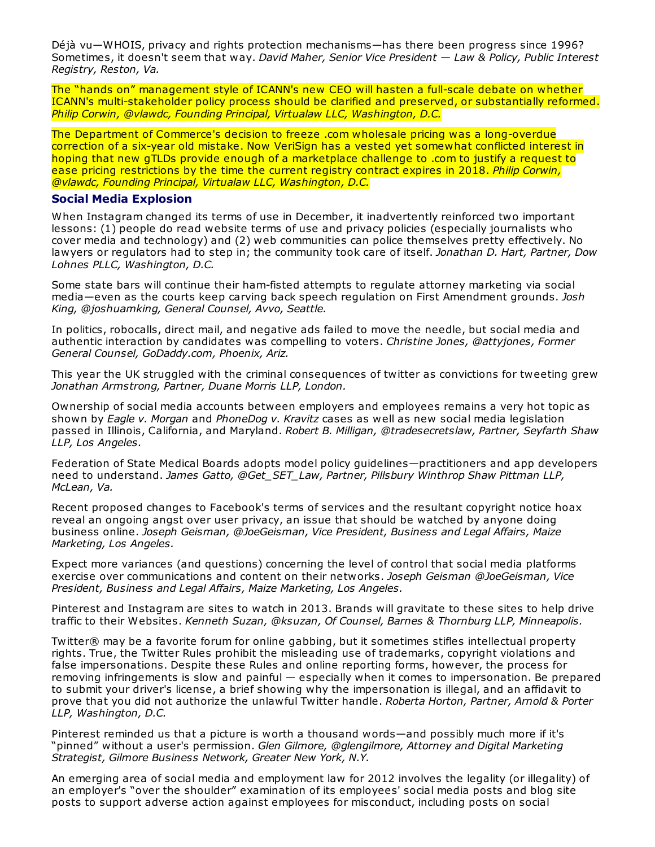Déjà vu—WHOIS, privacy and rights protection mechanisms—has there been progress since 1996? Sometimes, it doesn't seem that way. *David Maher, Senior Vice President — Law & Policy, Public Interest Registry, Reston, Va.*

The "hands on" management style of ICANN's new CEO will hasten a full-scale debate on whether ICANN's multi-stakeholder policy process should be clarified and preserved, or substantially reformed. *Philip Corwin, @vlawdc, Founding Principal, Virtualaw LLC, Washington, D.C.*

The Department of Commerce's decision to freeze .com wholesale pricing was a long-overdue correction of a six-year old mistake. Now VeriSign has a vested yet somewhat conflicted interest in hoping that new gTLDs provide enough of a marketplace challenge to .com to justify a request to ease pricing restrictions by the time the current registry contract expires in 2018. *Philip Corwin, @vlawdc, Founding Principal, Virtualaw LLC, Washington, D.C.*

#### **Social Media Explosion**

When Instagram changed its terms of use in December, it inadvertently reinforced two important lessons: (1) people do read website terms of use and privacy policies (especially journalists who cover media and technology) and (2) web communities can police themselves pretty effectively. No lawyers or regulators had to step in; the community took care of itself. *Jonathan D. Hart, Partner, Dow Lohnes PLLC, Washington, D.C.*

Some state bars will continue their ham-fisted attempts to regulate attorney marketing via social media—even as the courts keep carving back speech regulation on First Amendment grounds. *Josh King, @joshuamking, General Counsel, Avvo, Seattle.*

In politics, robocalls, direct mail, and negative ads failed to move the needle, but social media and authentic interaction by candidates was compelling to voters. *Christine Jones, @attyjones, Former General Counsel, GoDaddy.com, Phoenix, Ariz.*

This year the UK struggled with the criminal consequences of twitter as convictions for tweeting grew *Jonathan Armstrong, Partner, Duane Morris LLP, London.*

Ownership of social media accounts between employers and employees remains a very hot topic as shown by *Eagle v. Morgan* and *PhoneDog v. Kravitz* cases as well as new social media legislation passed in Illinois, California, and Maryland. *Robert B. Milligan, @tradesecretslaw, Partner, Seyfarth Shaw LLP, Los Angeles.*

Federation of State Medical Boards adopts model policy guidelines—practitioners and app developers need to understand. *James Gatto, @Get\_SET\_Law, Partner, Pillsbury Winthrop Shaw Pittman LLP, McLean, Va.*

Recent proposed changes to Facebook's terms of services and the resultant copyright notice hoax reveal an ongoing angst over user privacy, an issue that should be watched by anyone doing business online. *Joseph Geisman, @JoeGeisman, Vice President, Business and Legal Affairs, Maize Marketing, Los Angeles.*

Expect more variances (and questions) concerning the level of control that social media platforms exercise over communications and content on their networks. *Joseph Geisman @JoeGeisman, Vice President, Business and Legal Affairs, Maize Marketing, Los Angeles.*

Pinterest and Instagram are sites to watch in 2013. Brands will gravitate to these sites to help drive traffic to their Websites. *Kenneth Suzan, @ksuzan, Of Counsel, Barnes & Thornburg LLP, Minneapolis.*

Twitter® may be a favorite forum for online gabbing, but it sometimes stifles intellectual property rights. True, the Twitter Rules prohibit the misleading use of trademarks, copyright violations and false impersonations. Despite these Rules and online reporting forms, however, the process for removing infringements is slow and painful — especially when it comes to impersonation. Be prepared to submit your driver's license, a brief showing why the impersonation is illegal, and an affidavit to prove that you did not authorize the unlawful Twitter handle. *Roberta Horton, Partner, Arnold & Porter LLP, Washington, D.C.*

Pinterest reminded us that a picture is worth a thousand words—and possibly much more if it's "pinned" without a user's permission. *Glen Gilmore, @glengilmore, Attorney and Digital Marketing Strategist, Gilmore Business Network, Greater New York, N.Y.*

An emerging area of social media and employment law for 2012 involves the legality (or illegality) of an employer's "over the shoulder" examination of its employees' social media posts and blog site posts to support adverse action against employees for misconduct, including posts on social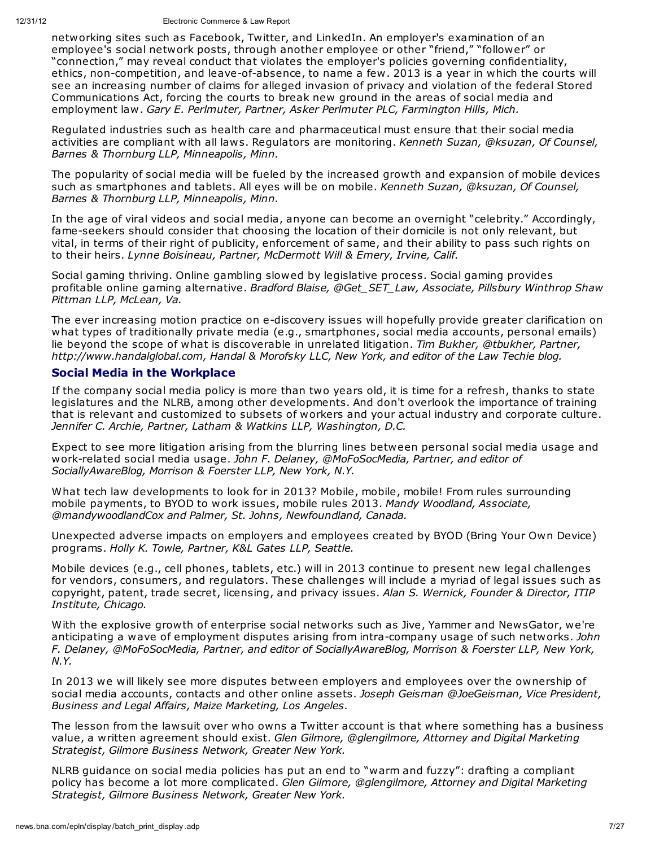networking sites such as Facebook, Twitter, and LinkedIn. An employer's examination of an employee's social network posts, through another employee or other "friend," "follower" or "connection," may reveal conduct that violates the employer's policies governing confidentiality, ethics, non-competition, and leave-of-absence, to name a few. 2013 is a year in which the courts will see an increasing number of claims for alleged invasion of privacy and violation of the federal Stored Communications Act, forcing the courts to break new ground in the areas of social media and employment law. *Gary E. Perlmuter, Partner, Asker Perlmuter PLC, Farmington Hills, Mich.*

Regulated industries such as health care and pharmaceutical must ensure that their social media activities are compliant with all laws. Regulators are monitoring. *Kenneth Suzan, @ksuzan, Of Counsel, Barnes & Thornburg LLP, Minneapolis, Minn.*

The popularity of social media will be fueled by the increased growth and expansion of mobile devices such as smartphones and tablets. All eyes will be on mobile. *Kenneth Suzan, @ksuzan, Of Counsel, Barnes & Thornburg LLP, Minneapolis, Minn.*

In the age of viral videos and social media, anyone can become an overnight "celebrity." Accordingly, fame-seekers should consider that choosing the location of their domicile is not only relevant, but vital, in terms of their right of publicity, enforcement of same, and their ability to pass such rights on to their heirs. *Lynne Boisineau, Partner, McDermott Will & Emery, Irvine, Calif.*

Social gaming thriving. Online gambling slowed by legislative process. Social gaming provides profitable online gaming alternative. *Bradford Blaise, @Get\_SET\_Law, Associate, Pillsbury Winthrop Shaw Pittman LLP, McLean, Va.*

The ever increasing motion practice on e-discovery issues will hopefully provide greater clarification on what types of traditionally private media (e.g., smartphones, social media accounts, personal emails) lie beyond the scope of what is discoverable in unrelated litigation. *Tim Bukher, @tbukher, Partner, http://www.handalglobal.com, Handal & Morofsky LLC, New York, and editor of the Law Techie blog.*

## **Social Media in the Workplace**

If the company social media policy is more than two years old, it is time for a refresh, thanks to state legislatures and the NLRB, among other developments. And don't overlook the importance of training that is relevant and customized to subsets of workers and your actual industry and corporate culture. *Jennifer C. Archie, Partner, Latham & Watkins LLP, Washington, D.C.*

Expect to see more litigation arising from the blurring lines between personal social media usage and work-related social media usage. *John F. Delaney, @MoFoSocMedia, Partner, and editor of SociallyAwareBlog, Morrison & Foerster LLP, New York, N.Y.*

What tech law developments to look for in 2013? Mobile, mobile, mobile! From rules surrounding mobile payments, to BYOD to work issues, mobile rules 2013. *Mandy Woodland, Associate, @mandywoodlandCox and Palmer, St. Johns, Newfoundland, Canada.*

Unexpected adverse impacts on employers and employees created by BYOD (Bring Your Own Device) programs. *Holly K. Towle, Partner, K&L Gates LLP, Seattle.*

Mobile devices (e.g., cell phones, tablets, etc.) will in 2013 continue to present new legal challenges for vendors, consumers, and regulators. These challenges will include a myriad of legal issues such as copyright, patent, trade secret, licensing, and privacy issues. *Alan S. Wernick, Founder & Director, ITIP Institute, Chicago.*

With the explosive growth of enterprise social networks such as Jive, Yammer and NewsGator, we're anticipating a wave of employment disputes arising from intra-company usage of such networks. *John F. Delaney, @MoFoSocMedia, Partner, and editor of SociallyAwareBlog, Morrison & Foerster LLP, New York, N.Y.*

In 2013 we will likely see more disputes between employers and employees over the ownership of social media accounts, contacts and other online assets. *Joseph Geisman @JoeGeisman, Vice President, Business and Legal Affairs, Maize Marketing, Los Angeles.*

The lesson from the lawsuit over who owns a Twitter account is that where something has a business value, a written agreement should exist. *Glen Gilmore, @glengilmore, Attorney and Digital Marketing Strategist, Gilmore Business Network, Greater New York.*

NLRB guidance on social media policies has put an end to "warm and fuzzy": drafting a compliant policy has become a lot more complicated. *Glen Gilmore, @glengilmore, Attorney and Digital Marketing Strategist, Gilmore Business Network, Greater New York.*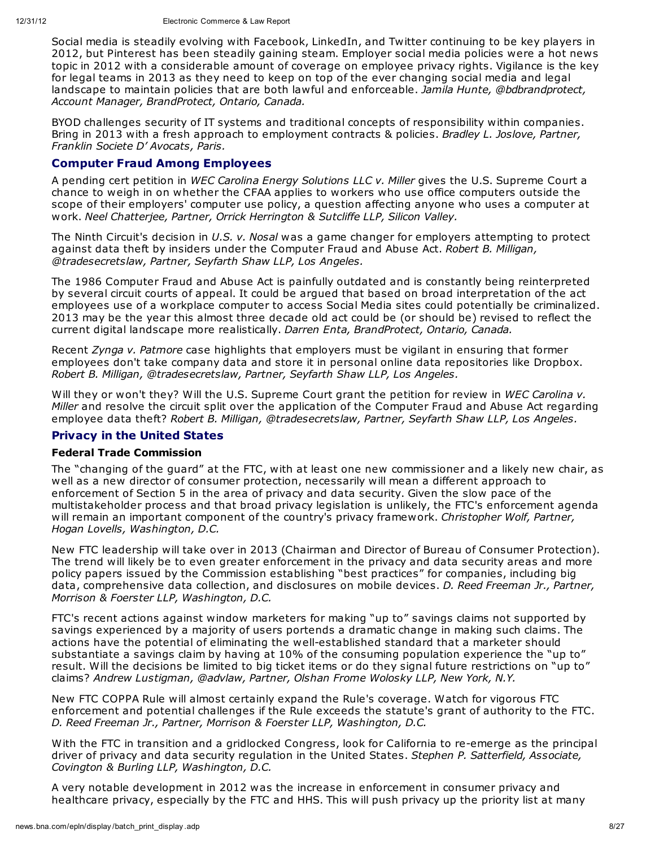Social media is steadily evolving with Facebook, LinkedIn, and Twitter continuing to be key players in 2012, but Pinterest has been steadily gaining steam. Employer social media policies were a hot news topic in 2012 with a considerable amount of coverage on employee privacy rights. Vigilance is the key for legal teams in 2013 as they need to keep on top of the ever changing social media and legal landscape to maintain policies that are both lawful and enforceable. *Jamila Hunte, @bdbrandprotect, Account Manager, BrandProtect, Ontario, Canada.*

BYOD challenges security of IT systems and traditional concepts of responsibility within companies. Bring in 2013 with a fresh approach to employment contracts & policies. *Bradley L. Joslove, Partner, Franklin Societe D' Avocats, Paris.*

## **Computer Fraud Among Employees**

A pending cert petition in *WEC Carolina Energy Solutions LLC v. Miller* gives the U.S. Supreme Court a chance to weigh in on whether the CFAA applies to workers who use office computers outside the scope of their employers' computer use policy, a question affecting anyone who uses a computer at work. *Neel Chatterjee, Partner, Orrick Herrington & Sutcliffe LLP, Silicon Valley.*

The Ninth Circuit's decision in *U.S. v. Nosal* was a game changer for employers attempting to protect against data theft by insiders under the Computer Fraud and Abuse Act. *Robert B. Milligan, @tradesecretslaw, Partner, Seyfarth Shaw LLP, Los Angeles.*

The 1986 Computer Fraud and Abuse Act is painfully outdated and is constantly being reinterpreted by several circuit courts of appeal. It could be argued that based on broad interpretation of the act employees use of a workplace computer to access Social Media sites could potentially be criminalized. 2013 may be the year this almost three decade old act could be (or should be) revised to reflect the current digital landscape more realistically. *Darren Enta, BrandProtect, Ontario, Canada.*

Recent *Zynga v. Patmore* case highlights that employers must be vigilant in ensuring that former employees don't take company data and store it in personal online data repositories like Dropbox. *Robert B. Milligan, @tradesecretslaw, Partner, Seyfarth Shaw LLP, Los Angeles.*

Will they or won't they? Will the U.S. Supreme Court grant the petition for review in *WEC Carolina v. Miller* and resolve the circuit split over the application of the Computer Fraud and Abuse Act regarding employee data theft? *Robert B. Milligan, @tradesecretslaw, Partner, Seyfarth Shaw LLP, Los Angeles.*

## **Privacy in the United States**

#### **Federal Trade Commission**

The "changing of the guard" at the FTC, with at least one new commissioner and a likely new chair, as well as a new director of consumer protection, necessarily will mean a different approach to enforcement of Section 5 in the area of privacy and data security. Given the slow pace of the multistakeholder process and that broad privacy legislation is unlikely, the FTC's enforcement agenda will remain an important component of the country's privacy framework. *Christopher Wolf, Partner, Hogan Lovells, Washington, D.C.*

New FTC leadership will take over in 2013 (Chairman and Director of Bureau of Consumer Protection). The trend will likely be to even greater enforcement in the privacy and data security areas and more policy papers issued by the Commission establishing "best practices" for companies, including big data, comprehensive data collection, and disclosures on mobile devices. *D. Reed Freeman Jr., Partner, Morrison & Foerster LLP, Washington, D.C.*

FTC's recent actions against window marketers for making "up to" savings claims not supported by savings experienced by a majority of users portends a dramatic change in making such claims. The actions have the potential of eliminating the well-established standard that a marketer should substantiate a savings claim by having at 10% of the consuming population experience the "up to" result. Will the decisions be limited to big ticket items or do they signal future restrictions on "up to" claims? *Andrew Lustigman, @advlaw, Partner, Olshan Frome Wolosky LLP, New York, N.Y.*

New FTC COPPA Rule will almost certainly expand the Rule's coverage. Watch for vigorous FTC enforcement and potential challenges if the Rule exceeds the statute's grant of authority to the FTC. *D. Reed Freeman Jr., Partner, Morrison & Foerster LLP, Washington, D.C.*

With the FTC in transition and a gridlocked Congress, look for California to re-emerge as the principal driver of privacy and data security regulation in the United States. *Stephen P. Satterfield, Associate, Covington & Burling LLP, Washington, D.C.*

A very notable development in 2012 was the increase in enforcement in consumer privacy and healthcare privacy, especially by the FTC and HHS. This will push privacy up the priority list at many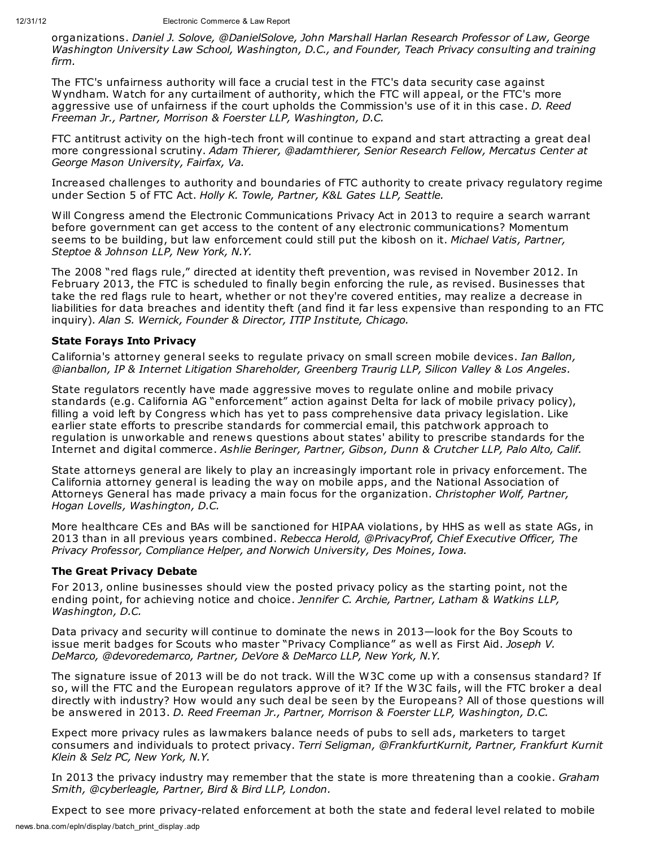organizations. *Daniel J. Solove, @DanielSolove, John Marshall Harlan Research Professor of Law, George Washington University Law School, Washington, D.C., and Founder, Teach Privacy consulting and training firm.*

The FTC's unfairness authority will face a crucial test in the FTC's data security case against Wyndham. Watch for any curtailment of authority, which the FTC will appeal, or the FTC's more aggressive use of unfairness if the court upholds the Commission's use of it in this case. *D. Reed Freeman Jr., Partner, Morrison & Foerster LLP, Washington, D.C.*

FTC antitrust activity on the high-tech front will continue to expand and start attracting a great deal more congressional scrutiny. *Adam Thierer, @adamthierer, Senior Research Fellow, Mercatus Center at George Mason University, Fairfax, Va.*

Increased challenges to authority and boundaries of FTC authority to create privacy regulatory regime under Section 5 of FTC Act. *Holly K. Towle, Partner, K&L Gates LLP, Seattle.*

Will Congress amend the Electronic Communications Privacy Act in 2013 to require a search warrant before government can get access to the content of any electronic communications? Momentum seems to be building, but law enforcement could still put the kibosh on it. *Michael Vatis, Partner, Steptoe & Johnson LLP, New York, N.Y.*

The 2008 "red flags rule," directed at identity theft prevention, was revised in November 2012. In February 2013, the FTC is scheduled to finally begin enforcing the rule, as revised. Businesses that take the red flags rule to heart, whether or not they're covered entities, may realize a decrease in liabilities for data breaches and identity theft (and find it far less expensive than responding to an FTC inquiry). *Alan S. Wernick, Founder & Director, ITIP Institute, Chicago.*

#### **State Forays Into Privacy**

California's attorney general seeks to regulate privacy on small screen mobile devices. *Ian Ballon, @ianballon, IP & Internet Litigation Shareholder, Greenberg Traurig LLP, Silicon Valley & Los Angeles.*

State regulators recently have made aggressive moves to regulate online and mobile privacy standards (e.g. California AG "enforcement" action against Delta for lack of mobile privacy policy), filling a void left by Congress which has yet to pass comprehensive data privacy legislation. Like earlier state efforts to prescribe standards for commercial email, this patchwork approach to regulation is unworkable and renews questions about states' ability to prescribe standards for the Internet and digital commerce. *Ashlie Beringer, Partner, Gibson, Dunn & Crutcher LLP, Palo Alto, Calif.*

State attorneys general are likely to play an increasingly important role in privacy enforcement. The California attorney general is leading the way on mobile apps, and the National Association of Attorneys General has made privacy a main focus for the organization. *Christopher Wolf, Partner, Hogan Lovells, Washington, D.C.*

More healthcare CEs and BAs will be sanctioned for HIPAA violations, by HHS as well as state AGs, in 2013 than in all previous years combined. *Rebecca Herold, @PrivacyProf, Chief Executive Officer, The Privacy Professor, Compliance Helper, and Norwich University, Des Moines, Iowa.*

#### **The Great Privacy Debate**

For 2013, online businesses should view the posted privacy policy as the starting point, not the ending point, for achieving notice and choice. *Jennifer C. Archie, Partner, Latham & Watkins LLP, Washington, D.C.*

Data privacy and security will continue to dominate the news in 2013—look for the Boy Scouts to issue merit badges for Scouts who master "Privacy Compliance" as well as First Aid. *Joseph V. DeMarco, @devoredemarco, Partner, DeVore & DeMarco LLP, New York, N.Y.*

The signature issue of 2013 will be do not track. Will the W3C come up with a consensus standard? If so, will the FTC and the European regulators approve of it? If the W3C fails, will the FTC broker a deal directly with industry? How would any such deal be seen by the Europeans? All of those questions will be answered in 2013. *D. Reed Freeman Jr., Partner, Morrison & Foerster LLP, Washington, D.C.*

Expect more privacy rules as lawmakers balance needs of pubs to sell ads, marketers to target consumers and individuals to protect privacy. *Terri Seligman, @FrankfurtKurnit, Partner, Frankfurt Kurnit Klein & Selz PC, New York, N.Y.*

In 2013 the privacy industry may remember that the state is more threatening than a cookie. *Graham Smith, @cyberleagle, Partner, Bird & Bird LLP, London.*

Expect to see more privacy-related enforcement at both the state and federal level related to mobile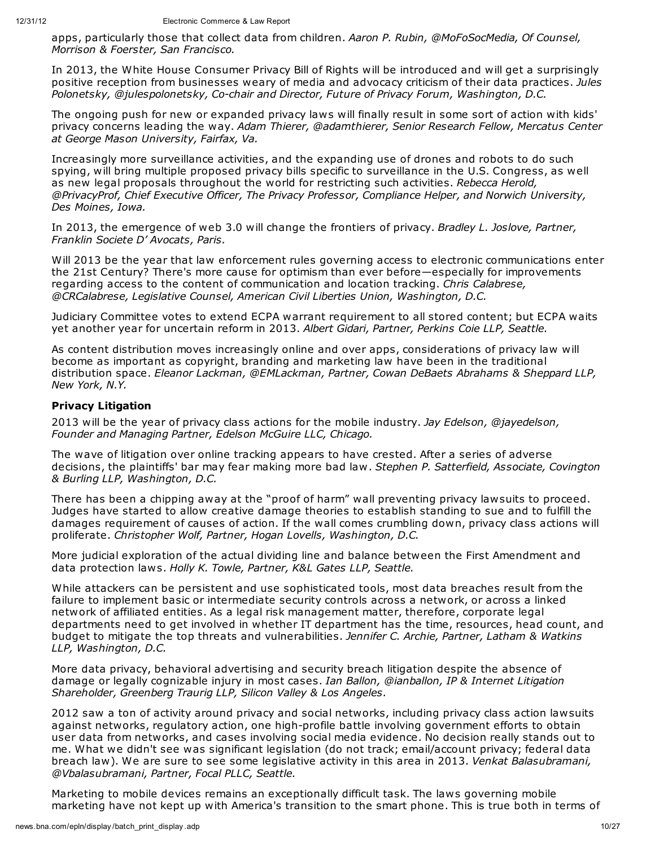apps, particularly those that collect data from children. *Aaron P. Rubin, @MoFoSocMedia, Of Counsel, Morrison & Foerster, San Francisco.*

In 2013, the White House Consumer Privacy Bill of Rights will be introduced and will get a surprisingly positive reception from businesses weary of media and advocacy criticism of their data practices. *Jules Polonetsky, @julespolonetsky, Co-chair and Director, Future of Privacy Forum, Washington, D.C.*

The ongoing push for new or expanded privacy laws will finally result in some sort of action with kids' privacy concerns leading the way. *Adam Thierer, @adamthierer, Senior Research Fellow, Mercatus Center at George Mason University, Fairfax, Va.*

Increasingly more surveillance activities, and the expanding use of drones and robots to do such spying, will bring multiple proposed privacy bills specific to surveillance in the U.S. Congress, as well as new legal proposals throughout the world for restricting such activities. *Rebecca Herold, @PrivacyProf, Chief Executive Officer, The Privacy Professor, Compliance Helper, and Norwich University, Des Moines, Iowa.*

In 2013, the emergence of web 3.0 will change the frontiers of privacy. *Bradley L. Joslove, Partner, Franklin Societe D' Avocats, Paris.*

Will 2013 be the year that law enforcement rules governing access to electronic communications enter the 21st Century? There's more cause for optimism than ever before—especially for improvements regarding access to the content of communication and location tracking. *Chris Calabrese, @CRCalabrese, Legislative Counsel, American Civil Liberties Union, Washington, D.C.*

Judiciary Committee votes to extend ECPA warrant requirement to all stored content; but ECPA waits yet another year for uncertain reform in 2013. *Albert Gidari, Partner, Perkins Coie LLP, Seattle.*

As content distribution moves increasingly online and over apps, considerations of privacy law will become as important as copyright, branding and marketing law have been in the traditional distribution space. *Eleanor Lackman, @EMLackman, Partner, Cowan DeBaets Abrahams & Sheppard LLP, New York, N.Y.*

#### **Privacy Litigation**

2013 will be the year of privacy class actions for the mobile industry. *Jay Edelson, @jayedelson, Founder and Managing Partner, Edelson McGuire LLC, Chicago.*

The wave of litigation over online tracking appears to have crested. After a series of adverse decisions, the plaintiffs' bar may fear making more bad law. *Stephen P. Satterfield, Associate, Covington & Burling LLP, Washington, D.C.*

There has been a chipping away at the "proof of harm" wall preventing privacy lawsuits to proceed. Judges have started to allow creative damage theories to establish standing to sue and to fulfill the damages requirement of causes of action. If the wall comes crumbling down, privacy class actions will proliferate. *Christopher Wolf, Partner, Hogan Lovells, Washington, D.C.*

More judicial exploration of the actual dividing line and balance between the First Amendment and data protection laws. *Holly K. Towle, Partner, K&L Gates LLP, Seattle.*

While attackers can be persistent and use sophisticated tools, most data breaches result from the failure to implement basic or intermediate security controls across a network, or across a linked network of affiliated entities. As a legal risk management matter, therefore, corporate legal departments need to get involved in whether IT department has the time, resources, head count, and budget to mitigate the top threats and vulnerabilities. *Jennifer C. Archie, Partner, Latham & Watkins LLP, Washington, D.C.*

More data privacy, behavioral advertising and security breach litigation despite the absence of damage or legally cognizable injury in most cases. *Ian Ballon, @ianballon, IP & Internet Litigation Shareholder, Greenberg Traurig LLP, Silicon Valley & Los Angeles.*

2012 saw a ton of activity around privacy and social networks, including privacy class action lawsuits against networks, regulatory action, one high-profile battle involving government efforts to obtain user data from networks, and cases involving social media evidence. No decision really stands out to me. What we didn't see was significant legislation (do not track; email/account privacy; federal data breach law). We are sure to see some legislative activity in this area in 2013. *Venkat Balasubramani, @Vbalasubramani, Partner, Focal PLLC, Seattle.*

Marketing to mobile devices remains an exceptionally difficult task. The laws governing mobile marketing have not kept up with America's transition to the smart phone. This is true both in terms of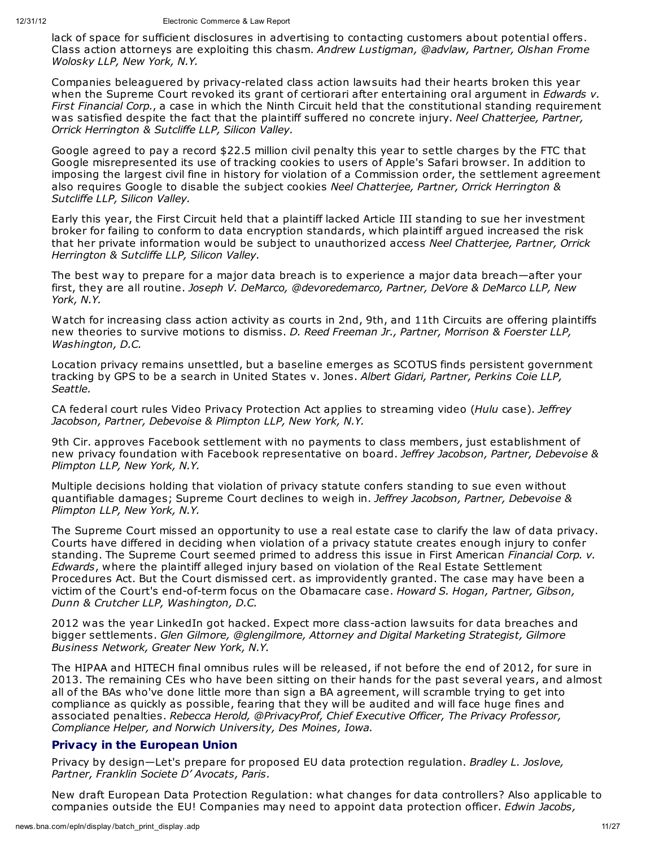lack of space for sufficient disclosures in advertising to contacting customers about potential offers. Class action attorneys are exploiting this chasm. *Andrew Lustigman, @advlaw, Partner, Olshan Frome Wolosky LLP, New York, N.Y.*

Companies beleaguered by privacy-related class action lawsuits had their hearts broken this year when the Supreme Court revoked its grant of certiorari after entertaining oral argument in *Edwards v. First Financial Corp.*, a case in which the Ninth Circuit held that the constitutional standing requirement was satisfied despite the fact that the plaintiff suffered no concrete injury. *Neel Chatterjee, Partner, Orrick Herrington & Sutcliffe LLP, Silicon Valley.*

Google agreed to pay a record \$22.5 million civil penalty this year to settle charges by the FTC that Google misrepresented its use of tracking cookies to users of Apple's Safari browser. In addition to imposing the largest civil fine in history for violation of a Commission order, the settlement agreement also requires Google to disable the subject cookies *Neel Chatterjee, Partner, Orrick Herrington & Sutcliffe LLP, Silicon Valley.*

Early this year, the First Circuit held that a plaintiff lacked Article III standing to sue her investment broker for failing to conform to data encryption standards, which plaintiff argued increased the risk that her private information would be subject to unauthorized access *Neel Chatterjee, Partner, Orrick Herrington & Sutcliffe LLP, Silicon Valley.*

The best way to prepare for a major data breach is to experience a major data breach—after your first, they are all routine. *Joseph V. DeMarco, @devoredemarco, Partner, DeVore & DeMarco LLP, New York, N.Y.*

Watch for increasing class action activity as courts in 2nd, 9th, and 11th Circuits are offering plaintiffs new theories to survive motions to dismiss. *D. Reed Freeman Jr., Partner, Morrison & Foerster LLP, Washington, D.C.*

Location privacy remains unsettled, but a baseline emerges as SCOTUS finds persistent government tracking by GPS to be a search in United States v. Jones. *Albert Gidari, Partner, Perkins Coie LLP, Seattle.*

CA federal court rules Video Privacy Protection Act applies to streaming video (*Hulu* case). *Jeffrey Jacobson, Partner, Debevoise & Plimpton LLP, New York, N.Y.*

9th Cir. approves Facebook settlement with no payments to class members, just establishment of new privacy foundation with Facebook representative on board. *Jeffrey Jacobson, Partner, Debevoise & Plimpton LLP, New York, N.Y.*

Multiple decisions holding that violation of privacy statute confers standing to sue even without quantifiable damages; Supreme Court declines to weigh in. *Jeffrey Jacobson, Partner, Debevoise & Plimpton LLP, New York, N.Y.*

The Supreme Court missed an opportunity to use a real estate case to clarify the law of data privacy. Courts have differed in deciding when violation of a privacy statute creates enough injury to confer standing. The Supreme Court seemed primed to address this issue in First American *Financial Corp. v. Edwards*, where the plaintiff alleged injury based on violation of the Real Estate Settlement Procedures Act. But the Court dismissed cert. as improvidently granted. The case may have been a victim of the Court's end-of-term focus on the Obamacare case. *Howard S. Hogan, Partner, Gibson, Dunn & Crutcher LLP, Washington, D.C.*

2012 was the year LinkedIn got hacked. Expect more class-action lawsuits for data breaches and bigger settlements. *Glen Gilmore, @glengilmore, Attorney and Digital Marketing Strategist, Gilmore Business Network, Greater New York, N.Y.*

The HIPAA and HITECH final omnibus rules will be released, if not before the end of 2012, for sure in 2013. The remaining CEs who have been sitting on their hands for the past several years, and almost all of the BAs who've done little more than sign a BA agreement, will scramble trying to get into compliance as quickly as possible, fearing that they will be audited and will face huge fines and associated penalties. *Rebecca Herold, @PrivacyProf, Chief Executive Officer, The Privacy Professor, Compliance Helper, and Norwich University, Des Moines, Iowa.*

## **Privacy in the European Union**

Privacy by design—Let's prepare for proposed EU data protection regulation. *Bradley L. Joslove, Partner, Franklin Societe D' Avocats, Paris.*

New draft European Data Protection Regulation: what changes for data controllers? Also applicable to companies outside the EU! Companies may need to appoint data protection officer. *Edwin Jacobs,*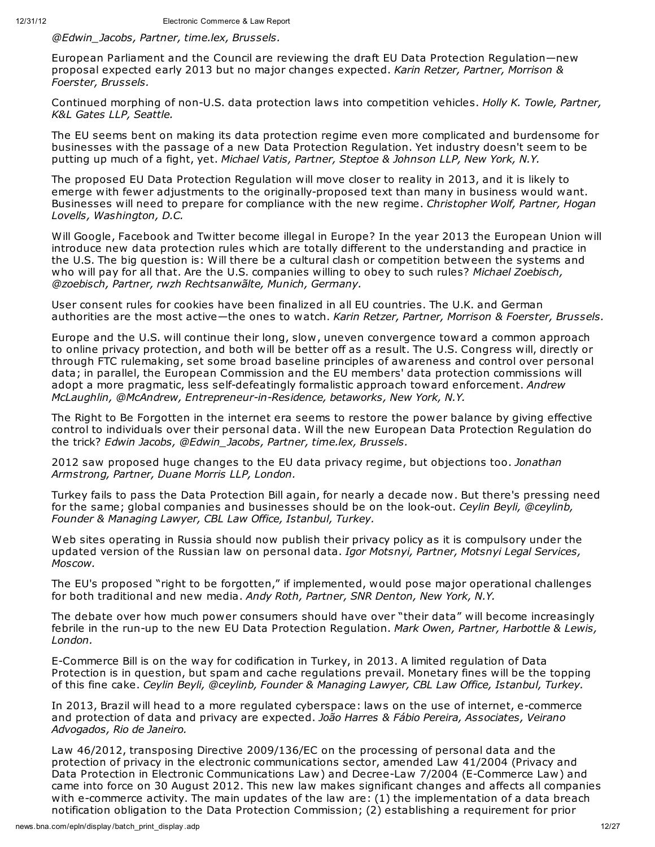*@Edwin\_Jacobs, Partner, time.lex, Brussels.*

European Parliament and the Council are reviewing the draft EU Data Protection Regulation—new proposal expected early 2013 but no major changes expected. *Karin Retzer, Partner, Morrison & Foerster, Brussels.*

Continued morphing of non-U.S. data protection laws into competition vehicles. *Holly K. Towle, Partner, K&L Gates LLP, Seattle.*

The EU seems bent on making its data protection regime even more complicated and burdensome for businesses with the passage of a new Data Protection Regulation. Yet industry doesn't seem to be putting up much of a fight, yet. *Michael Vatis, Partner, Steptoe & Johnson LLP, New York, N.Y.*

The proposed EU Data Protection Regulation will move closer to reality in 2013, and it is likely to emerge with fewer adjustments to the originally-proposed text than many in business would want. Businesses will need to prepare for compliance with the new regime. *Christopher Wolf, Partner, Hogan Lovells, Washington, D.C.*

Will Google, Facebook and Twitter become illegal in Europe? In the year 2013 the European Union will introduce new data protection rules which are totally different to the understanding and practice in the U.S. The big question is: Will there be a cultural clash or competition between the systems and who will pay for all that. Are the U.S. companies willing to obey to such rules? *Michael Zoebisch, @zoebisch, Partner, rwzh Rechtsanwãlte, Munich, Germany.*

User consent rules for cookies have been finalized in all EU countries. The U.K. and German authorities are the most active—the ones to watch. *Karin Retzer, Partner, Morrison & Foerster, Brussels.*

Europe and the U.S. will continue their long, slow, uneven convergence toward a common approach to online privacy protection, and both will be better off as a result. The U.S. Congress will, directly or through FTC rulemaking, set some broad baseline principles of awareness and control over personal data; in parallel, the European Commission and the EU members' data protection commissions will adopt a more pragmatic, less self-defeatingly formalistic approach toward enforcement. *Andrew McLaughlin, @McAndrew, Entrepreneur-in-Residence, betaworks, New York, N.Y.*

The Right to Be Forgotten in the internet era seems to restore the power balance by giving effective control to individuals over their personal data. Will the new European Data Protection Regulation do the trick? *Edwin Jacobs, @Edwin\_Jacobs, Partner, time.lex, Brussels.*

2012 saw proposed huge changes to the EU data privacy regime, but objections too. *Jonathan Armstrong, Partner, Duane Morris LLP, London.*

Turkey fails to pass the Data Protection Bill again, for nearly a decade now. But there's pressing need for the same; global companies and businesses should be on the look-out. *Ceylin Beyli, @ceylinb, Founder & Managing Lawyer, CBL Law Office, Istanbul, Turkey.*

Web sites operating in Russia should now publish their privacy policy as it is compulsory under the updated version of the Russian law on personal data. *Igor Motsnyi, Partner, Motsnyi Legal Services, Moscow.*

The EU's proposed "right to be forgotten," if implemented, would pose major operational challenges for both traditional and new media. *Andy Roth, Partner, SNR Denton, New York, N.Y.*

The debate over how much power consumers should have over "their data" will become increasingly febrile in the run-up to the new EU Data Protection Regulation. *Mark Owen, Partner, Harbottle & Lewis, London.*

E-Commerce Bill is on the way for codification in Turkey, in 2013. A limited regulation of Data Protection is in question, but spam and cache regulations prevail. Monetary fines will be the topping of this fine cake. *Ceylin Beyli, @ceylinb, Founder & Managing Lawyer, CBL Law Office, Istanbul, Turkey.*

In 2013, Brazil will head to a more regulated cyberspace: laws on the use of internet, e-commerce and protection of data and privacy are expected. *João Harres & Fábio Pereira, Associates, Veirano Advogados, Rio de Janeiro.*

Law 46/2012, transposing Directive 2009/136/EC on the processing of personal data and the protection of privacy in the electronic communications sector, amended Law 41/2004 (Privacy and Data Protection in Electronic Communications Law) and Decree-Law 7/2004 (E-Commerce Law) and came into force on 30 August 2012. This new law makes significant changes and affects all companies with e-commerce activity. The main updates of the law are: (1) the implementation of a data breach notification obligation to the Data Protection Commission; (2) establishing a requirement for prior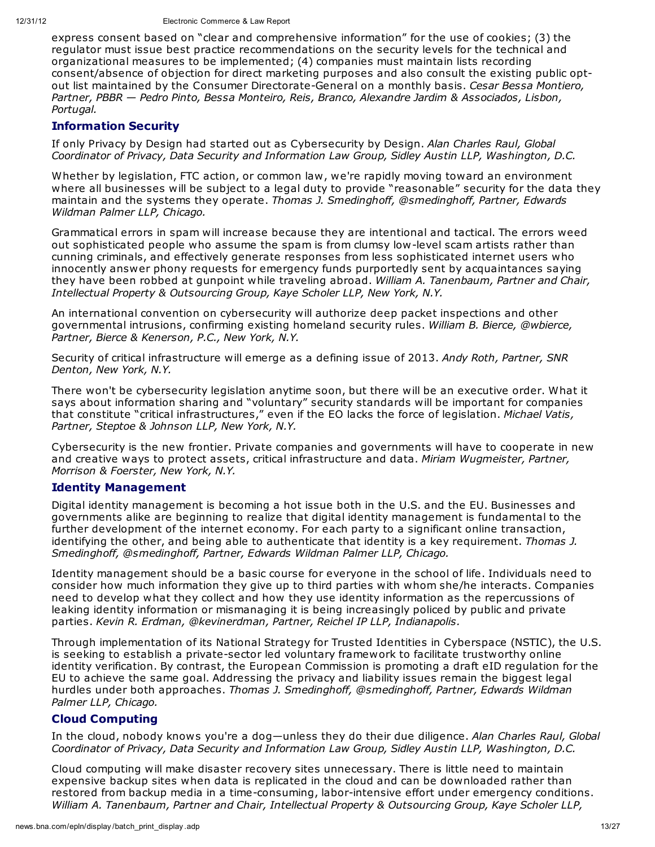express consent based on "clear and comprehensive information" for the use of cookies; (3) the regulator must issue best practice recommendations on the security levels for the technical and organizational measures to be implemented; (4) companies must maintain lists recording consent/absence of objection for direct marketing purposes and also consult the existing public optout list maintained by the Consumer Directorate-General on a monthly basis. *Cesar Bessa Montiero, Partner, PBBR — Pedro Pinto, Bessa Monteiro, Reis, Branco, Alexandre Jardim & Associados, Lisbon, Portugal.*

## **Information Security**

If only Privacy by Design had started out as Cybersecurity by Design. *Alan Charles Raul, Global Coordinator of Privacy, Data Security and Information Law Group, Sidley Austin LLP, Washington, D.C.*

Whether by legislation, FTC action, or common law, we're rapidly moving toward an environment where all businesses will be subject to a legal duty to provide "reasonable" security for the data they maintain and the systems they operate. *Thomas J. Smedinghoff, @smedinghoff, Partner, Edwards Wildman Palmer LLP, Chicago.*

Grammatical errors in spam will increase because they are intentional and tactical. The errors weed out sophisticated people who assume the spam is from clumsy low-level scam artists rather than cunning criminals, and effectively generate responses from less sophisticated internet users who innocently answer phony requests for emergency funds purportedly sent by acquaintances saying they have been robbed at gunpoint while traveling abroad. *William A. Tanenbaum, Partner and Chair, Intellectual Property & Outsourcing Group, Kaye Scholer LLP, New York, N.Y.*

An international convention on cybersecurity will authorize deep packet inspections and other governmental intrusions, confirming existing homeland security rules. *William B. Bierce, @wbierce, Partner, Bierce & Kenerson, P.C., New York, N.Y.*

Security of critical infrastructure will emerge as a defining issue of 2013. *Andy Roth, Partner, SNR Denton, New York, N.Y.*

There won't be cybersecurity legislation anytime soon, but there will be an executive order. What it says about information sharing and "voluntary" security standards will be important for companies that constitute "critical infrastructures," even if the EO lacks the force of legislation. *Michael Vatis, Partner, Steptoe & Johnson LLP, New York, N.Y.*

Cybersecurity is the new frontier. Private companies and governments will have to cooperate in new and creative ways to protect assets, critical infrastructure and data. *Miriam Wugmeister, Partner, Morrison & Foerster, New York, N.Y.*

#### **Identity Management**

Digital identity management is becoming a hot issue both in the U.S. and the EU. Businesses and governments alike are beginning to realize that digital identity management is fundamental to the further development of the internet economy. For each party to a significant online transaction, identifying the other, and being able to authenticate that identity is a key requirement. *Thomas J. Smedinghoff, @smedinghoff, Partner, Edwards Wildman Palmer LLP, Chicago.*

Identity management should be a basic course for everyone in the school of life. Individuals need to consider how much information they give up to third parties with whom she/he interacts. Companies need to develop what they collect and how they use identity information as the repercussions of leaking identity information or mismanaging it is being increasingly policed by public and private parties. *Kevin R. Erdman, @kevinerdman, Partner, Reichel IP LLP, Indianapolis.*

Through implementation of its National Strategy for Trusted Identities in Cyberspace (NSTIC), the U.S. is seeking to establish a private-sector led voluntary framework to facilitate trustworthy online identity verification. By contrast, the European Commission is promoting a draft eID regulation for the EU to achieve the same goal. Addressing the privacy and liability issues remain the biggest legal hurdles under both approaches. *Thomas J. Smedinghoff, @smedinghoff, Partner, Edwards Wildman Palmer LLP, Chicago.*

## **Cloud Computing**

In the cloud, nobody knows you're a dog—unless they do their due diligence. *Alan Charles Raul, Global Coordinator of Privacy, Data Security and Information Law Group, Sidley Austin LLP, Washington, D.C.*

Cloud computing will make disaster recovery sites unnecessary. There is little need to maintain expensive backup sites when data is replicated in the cloud and can be downloaded rather than restored from backup media in a time-consuming, labor-intensive effort under emergency conditions. *William A. Tanenbaum, Partner and Chair, Intellectual Property & Outsourcing Group, Kaye Scholer LLP,*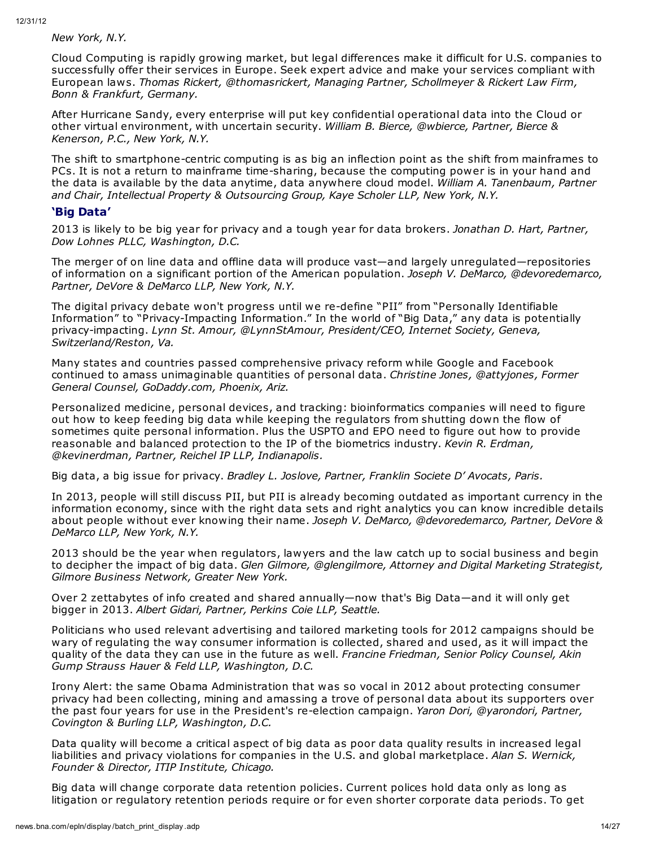*New York, N.Y.*

Cloud Computing is rapidly growing market, but legal differences make it difficult for U.S. companies to successfully offer their services in Europe. Seek expert advice and make your services compliant with European laws. *Thomas Rickert, @thomasrickert, Managing Partner, Schollmeyer & Rickert Law Firm, Bonn & Frankfurt, Germany.*

After Hurricane Sandy, every enterprise will put key confidential operational data into the Cloud or other virtual environment, with uncertain security. *William B. Bierce, @wbierce, Partner, Bierce & Kenerson, P.C., New York, N.Y.*

The shift to smartphone-centric computing is as big an inflection point as the shift from mainframes to PCs. It is not a return to mainframe time-sharing, because the computing power is in your hand and the data is available by the data anytime, data anywhere cloud model. *William A. Tanenbaum, Partner and Chair, Intellectual Property & Outsourcing Group, Kaye Scholer LLP, New York, N.Y.*

## **'Big Data'**

2013 is likely to be big year for privacy and a tough year for data brokers. *Jonathan D. Hart, Partner, Dow Lohnes PLLC, Washington, D.C.*

The merger of on line data and offline data will produce vast—and largely unregulated—repositories of information on a significant portion of the American population. *Joseph V. DeMarco, @devoredemarco, Partner, DeVore & DeMarco LLP, New York, N.Y.*

The digital privacy debate won't progress until we re-define "PII" from "Personally Identifiable Information" to "Privacy-Impacting Information." In the world of "Big Data," any data is potentially privacy-impacting. *Lynn St. Amour, @LynnStAmour, President/CEO, Internet Society, Geneva, Switzerland/Reston, Va.*

Many states and countries passed comprehensive privacy reform while Google and Facebook continued to amass unimaginable quantities of personal data. *Christine Jones, @attyjones, Former General Counsel, GoDaddy.com, Phoenix, Ariz.*

Personalized medicine, personal devices, and tracking: bioinformatics companies will need to figure out how to keep feeding big data while keeping the regulators from shutting down the flow of sometimes quite personal information. Plus the USPTO and EPO need to figure out how to provide reasonable and balanced protection to the IP of the biometrics industry. *Kevin R. Erdman, @kevinerdman, Partner, Reichel IP LLP, Indianapolis.*

Big data, a big issue for privacy. *Bradley L. Joslove, Partner, Franklin Societe D' Avocats, Paris.*

In 2013, people will still discuss PII, but PII is already becoming outdated as important currency in the information economy, since with the right data sets and right analytics you can know incredible details about people without ever knowing their name. *Joseph V. DeMarco, @devoredemarco, Partner, DeVore & DeMarco LLP, New York, N.Y.*

2013 should be the year when regulators, lawyers and the law catch up to social business and begin to decipher the impact of big data. *Glen Gilmore, @glengilmore, Attorney and Digital Marketing Strategist, Gilmore Business Network, Greater New York.*

Over 2 zettabytes of info created and shared annually—now that's Big Data—and it will only get bigger in 2013. *Albert Gidari, Partner, Perkins Coie LLP, Seattle.*

Politicians who used relevant advertising and tailored marketing tools for 2012 campaigns should be wary of regulating the way consumer information is collected, shared and used, as it will impact the quality of the data they can use in the future as well. *Francine Friedman, Senior Policy Counsel, Akin Gump Strauss Hauer & Feld LLP, Washington, D.C.*

Irony Alert: the same Obama Administration that was so vocal in 2012 about protecting consumer privacy had been collecting, mining and amassing a trove of personal data about its supporters over the past four years for use in the President's re-election campaign. *Yaron Dori, @yarondori, Partner, Covington & Burling LLP, Washington, D.C.*

Data quality will become a critical aspect of big data as poor data quality results in increased legal liabilities and privacy violations for companies in the U.S. and global marketplace. *Alan S. Wernick, Founder & Director, ITIP Institute, Chicago.*

Big data will change corporate data retention policies. Current polices hold data only as long as litigation or regulatory retention periods require or for even shorter corporate data periods. To get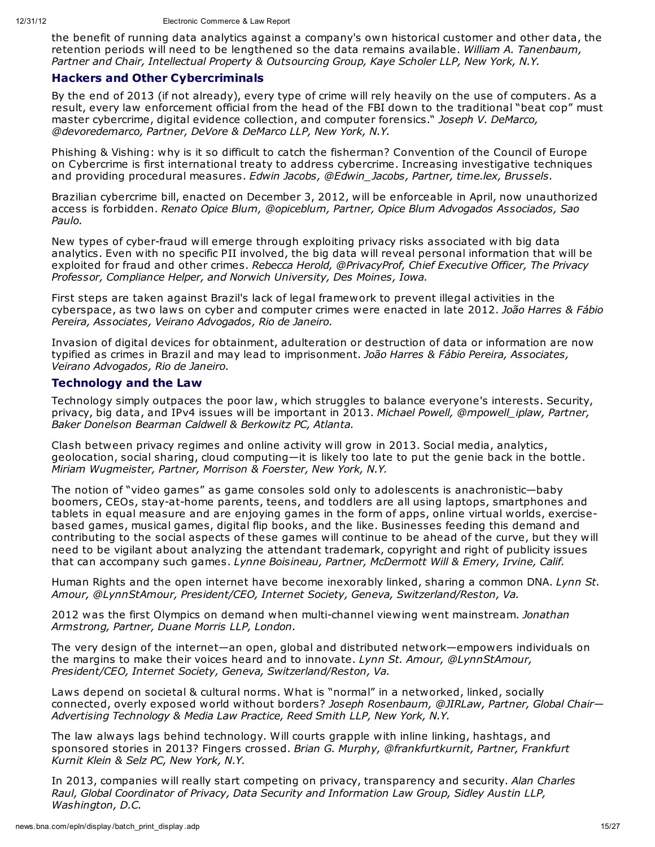the benefit of running data analytics against a company's own historical customer and other data, the retention periods will need to be lengthened so the data remains available. *William A. Tanenbaum, Partner and Chair, Intellectual Property & Outsourcing Group, Kaye Scholer LLP, New York, N.Y.*

#### **Hackers and Other Cybercriminals**

By the end of 2013 (if not already), every type of crime will rely heavily on the use of computers. As a result, every law enforcement official from the head of the FBI down to the traditional "beat cop" must master cybercrime, digital evidence collection, and computer forensics." *Joseph V. DeMarco, @devoredemarco, Partner, DeVore & DeMarco LLP, New York, N.Y.*

Phishing & Vishing: why is it so difficult to catch the fisherman? Convention of the Council of Europe on Cybercrime is first international treaty to address cybercrime. Increasing investigative techniques and providing procedural measures. *Edwin Jacobs, @Edwin\_Jacobs, Partner, time.lex, Brussels.*

Brazilian cybercrime bill, enacted on December 3, 2012, will be enforceable in April, now unauthorized access is forbidden. *Renato Opice Blum, @opiceblum, Partner, Opice Blum Advogados Associados, Sao Paulo.*

New types of cyber-fraud will emerge through exploiting privacy risks associated with big data analytics. Even with no specific PII involved, the big data will reveal personal information that will be exploited for fraud and other crimes. *Rebecca Herold, @PrivacyProf, Chief Executive Officer, The Privacy Professor, Compliance Helper, and Norwich University, Des Moines, Iowa.*

First steps are taken against Brazil's lack of legal framework to prevent illegal activities in the cyberspace, as two laws on cyber and computer crimes were enacted in late 2012. *João Harres & Fábio Pereira, Associates, Veirano Advogados, Rio de Janeiro.*

Invasion of digital devices for obtainment, adulteration or destruction of data or information are now typified as crimes in Brazil and may lead to imprisonment. *João Harres & Fábio Pereira, Associates, Veirano Advogados, Rio de Janeiro.*

#### **Technology and the Law**

Technology simply outpaces the poor law, which struggles to balance everyone's interests. Security, privacy, big data, and IPv4 issues will be important in 2013. *Michael Powell, @mpowell\_iplaw, Partner, Baker Donelson Bearman Caldwell & Berkowitz PC, Atlanta.*

Clash between privacy regimes and online activity will grow in 2013. Social media, analytics, geolocation, social sharing, cloud computing—it is likely too late to put the genie back in the bottle. *Miriam Wugmeister, Partner, Morrison & Foerster, New York, N.Y.*

The notion of "video games" as game consoles sold only to adolescents is anachronistic—baby boomers, CEOs, stay-at-home parents, teens, and toddlers are all using laptops, smartphones and tablets in equal measure and are enjoying games in the form of apps, online virtual worlds, exercisebased games, musical games, digital flip books, and the like. Businesses feeding this demand and contributing to the social aspects of these games will continue to be ahead of the curve, but they will need to be vigilant about analyzing the attendant trademark, copyright and right of publicity issues that can accompany such games. *Lynne Boisineau, Partner, McDermott Will & Emery, Irvine, Calif.*

Human Rights and the open internet have become inexorably linked, sharing a common DNA. *Lynn St. Amour, @LynnStAmour, President/CEO, Internet Society, Geneva, Switzerland/Reston, Va.*

2012 was the first Olympics on demand when multi-channel viewing went mainstream. *Jonathan Armstrong, Partner, Duane Morris LLP, London.*

The very design of the internet—an open, global and distributed network—empowers individuals on the margins to make their voices heard and to innovate. *Lynn St. Amour, @LynnStAmour, President/CEO, Internet Society, Geneva, Switzerland/Reston, Va.*

Laws depend on societal & cultural norms. What is "normal" in a networked, linked, socially connected, overly exposed world without borders? *Joseph Rosenbaum, @JIRLaw, Partner, Global Chair— Advertising Technology & Media Law Practice, Reed Smith LLP, New York, N.Y.*

The law always lags behind technology. Will courts grapple with inline linking, hashtags, and sponsored stories in 2013? Fingers crossed. *Brian G. Murphy, @frankfurtkurnit, Partner, Frankfurt Kurnit Klein & Selz PC, New York, N.Y.*

In 2013, companies will really start competing on privacy, transparency and security. *Alan Charles Raul, Global Coordinator of Privacy, Data Security and Information Law Group, Sidley Austin LLP, Washington, D.C.*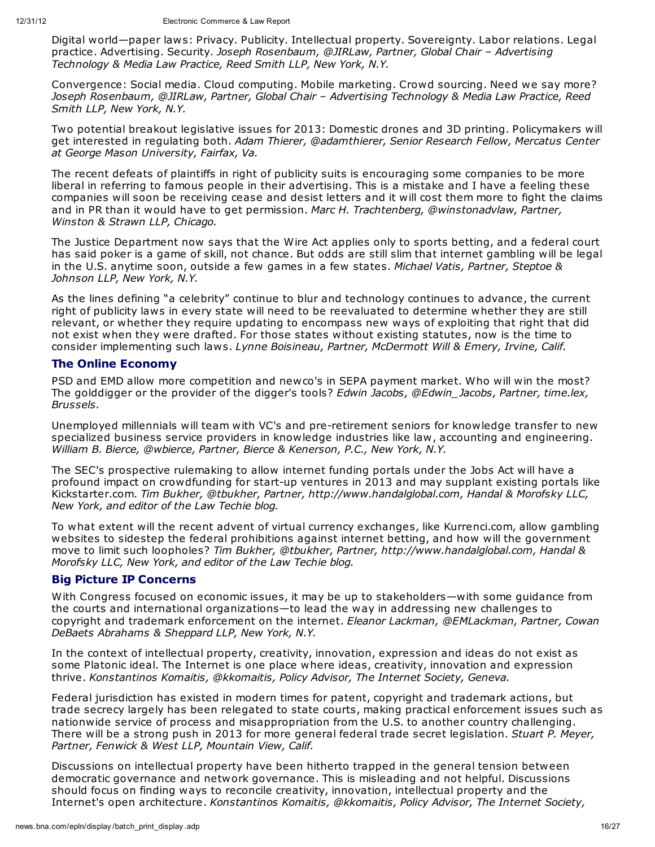Digital world—paper laws: Privacy. Publicity. Intellectual property. Sovereignty. Labor relations. Legal practice. Advertising. Security. *Joseph Rosenbaum, @JIRLaw, Partner, Global Chair – Advertising Technology & Media Law Practice, Reed Smith LLP, New York, N.Y.*

Convergence: Social media. Cloud computing. Mobile marketing. Crowd sourcing. Need we say more? *Joseph Rosenbaum, @JIRLaw, Partner, Global Chair – Advertising Technology & Media Law Practice, Reed Smith LLP, New York, N.Y.*

Two potential breakout legislative issues for 2013: Domestic drones and 3D printing. Policymakers will get interested in regulating both. *Adam Thierer, @adamthierer, Senior Research Fellow, Mercatus Center at George Mason University, Fairfax, Va.*

The recent defeats of plaintiffs in right of publicity suits is encouraging some companies to be more liberal in referring to famous people in their advertising. This is a mistake and I have a feeling these companies will soon be receiving cease and desist letters and it will cost them more to fight the claims and in PR than it would have to get permission. *Marc H. Trachtenberg, @winstonadvlaw, Partner, Winston & Strawn LLP, Chicago.*

The Justice Department now says that the Wire Act applies only to sports betting, and a federal court has said poker is a game of skill, not chance. But odds are still slim that internet gambling will be legal in the U.S. anytime soon, outside a few games in a few states. *Michael Vatis, Partner, Steptoe & Johnson LLP, New York, N.Y.*

As the lines defining "a celebrity" continue to blur and technology continues to advance, the current right of publicity laws in every state will need to be reevaluated to determine whether they are still relevant, or whether they require updating to encompass new ways of exploiting that right that did not exist when they were drafted. For those states without existing statutes, now is the time to consider implementing such laws. *Lynne Boisineau, Partner, McDermott Will & Emery, Irvine, Calif.*

#### **The Online Economy**

PSD and EMD allow more competition and newco's in SEPA payment market. Who will win the most? The golddigger or the provider of the digger's tools? *Edwin Jacobs, @Edwin\_Jacobs, Partner, time.lex, Brussels.*

Unemployed millennials will team with VC's and pre-retirement seniors for knowledge transfer to new specialized business service providers in knowledge industries like law, accounting and engineering. *William B. Bierce, @wbierce, Partner, Bierce & Kenerson, P.C., New York, N.Y.*

The SEC's prospective rulemaking to allow internet funding portals under the Jobs Act will have a profound impact on crowdfunding for start-up ventures in 2013 and may supplant existing portals like Kickstarter.com. *Tim Bukher, @tbukher, Partner, http://www.handalglobal.com, Handal & Morofsky LLC, New York, and editor of the Law Techie blog.*

To what extent will the recent advent of virtual currency exchanges, like Kurrenci.com, allow gambling websites to sidestep the federal prohibitions against internet betting, and how will the government move to limit such loopholes? *Tim Bukher, @tbukher, Partner, http://www.handalglobal.com, Handal & Morofsky LLC, New York, and editor of the Law Techie blog.*

#### **Big Picture IP Concerns**

With Congress focused on economic issues, it may be up to stakeholders—with some guidance from the courts and international organizations—to lead the way in addressing new challenges to copyright and trademark enforcement on the internet. *Eleanor Lackman, @EMLackman, Partner, Cowan DeBaets Abrahams & Sheppard LLP, New York, N.Y.*

In the context of intellectual property, creativity, innovation, expression and ideas do not exist as some Platonic ideal. The Internet is one place where ideas, creativity, innovation and expression thrive. *Konstantinos Komaitis, @kkomaitis, Policy Advisor, The Internet Society, Geneva.*

Federal jurisdiction has existed in modern times for patent, copyright and trademark actions, but trade secrecy largely has been relegated to state courts, making practical enforcement issues such as nationwide service of process and misappropriation from the U.S. to another country challenging. There will be a strong push in 2013 for more general federal trade secret legislation. *Stuart P. Meyer, Partner, Fenwick & West LLP, Mountain View, Calif.*

Discussions on intellectual property have been hitherto trapped in the general tension between democratic governance and network governance. This is misleading and not helpful. Discussions should focus on finding ways to reconcile creativity, innovation, intellectual property and the Internet's open architecture. *Konstantinos Komaitis, @kkomaitis, Policy Advisor, The Internet Society,*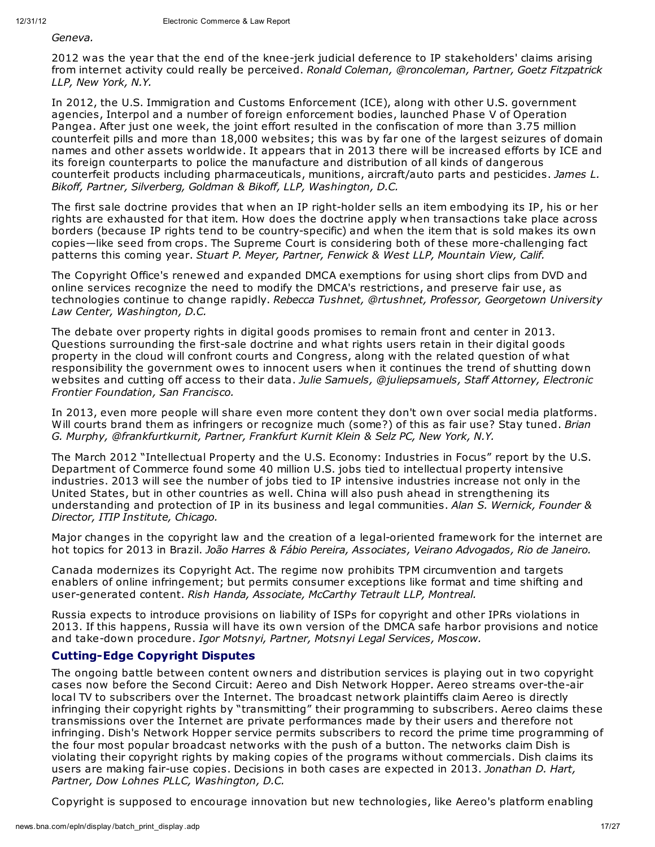*Geneva.*

2012 was the year that the end of the knee-jerk judicial deference to IP stakeholders' claims arising from internet activity could really be perceived. *Ronald Coleman, @roncoleman, Partner, Goetz Fitzpatrick LLP, New York, N.Y.*

In 2012, the U.S. Immigration and Customs Enforcement (ICE), along with other U.S. government agencies, Interpol and a number of foreign enforcement bodies, launched Phase V of Operation Pangea. After just one week, the joint effort resulted in the confiscation of more than 3.75 million counterfeit pills and more than 18,000 websites; this was by far one of the largest seizures of domain names and other assets worldwide. It appears that in 2013 there will be increased efforts by ICE and its foreign counterparts to police the manufacture and distribution of all kinds of dangerous counterfeit products including pharmaceuticals, munitions, aircraft/auto parts and pesticides. *James L. Bikoff, Partner, Silverberg, Goldman & Bikoff, LLP, Washington, D.C.*

The first sale doctrine provides that when an IP right-holder sells an item embodying its IP, his or her rights are exhausted for that item. How does the doctrine apply when transactions take place across borders (because IP rights tend to be country-specific) and when the item that is sold makes its own copies—like seed from crops. The Supreme Court is considering both of these more-challenging fact patterns this coming year. *Stuart P. Meyer, Partner, Fenwick & West LLP, Mountain View, Calif.*

The Copyright Office's renewed and expanded DMCA exemptions for using short clips from DVD and online services recognize the need to modify the DMCA's restrictions, and preserve fair use, as technologies continue to change rapidly. *Rebecca Tushnet, @rtushnet, Professor, Georgetown University Law Center, Washington, D.C.*

The debate over property rights in digital goods promises to remain front and center in 2013. Questions surrounding the first-sale doctrine and what rights users retain in their digital goods property in the cloud will confront courts and Congress, along with the related question of what responsibility the government owes to innocent users when it continues the trend of shutting down websites and cutting off access to their data. *Julie Samuels, @juliepsamuels, Staff Attorney, Electronic Frontier Foundation, San Francisco.*

In 2013, even more people will share even more content they don't own over social media platforms. Will courts brand them as infringers or recognize much (some?) of this as fair use? Stay tuned. *Brian G. Murphy, @frankfurtkurnit, Partner, Frankfurt Kurnit Klein & Selz PC, New York, N.Y.*

The March 2012 "Intellectual Property and the U.S. Economy: Industries in Focus" report by the U.S. Department of Commerce found some 40 million U.S. jobs tied to intellectual property intensive industries. 2013 will see the number of jobs tied to IP intensive industries increase not only in the United States, but in other countries as well. China will also push ahead in strengthening its understanding and protection of IP in its business and legal communities. *Alan S. Wernick, Founder & Director, ITIP Institute, Chicago.*

Major changes in the copyright law and the creation of a legal-oriented framework for the internet are hot topics for 2013 in Brazil. *João Harres & Fábio Pereira, Associates, Veirano Advogados, Rio de Janeiro.*

Canada modernizes its Copyright Act. The regime now prohibits TPM circumvention and targets enablers of online infringement; but permits consumer exceptions like format and time shifting and user-generated content. *Rish Handa, Associate, McCarthy Tetrault LLP, Montreal.*

Russia expects to introduce provisions on liability of ISPs for copyright and other IPRs violations in 2013. If this happens, Russia will have its own version of the DMCA safe harbor provisions and notice and take-down procedure. *Igor Motsnyi, Partner, Motsnyi Legal Services, Moscow.*

# **Cutting-Edge Copyright Disputes**

The ongoing battle between content owners and distribution services is playing out in two copyright cases now before the Second Circuit: Aereo and Dish Network Hopper. Aereo streams over-the-air local TV to subscribers over the Internet. The broadcast network plaintiffs claim Aereo is directly infringing their copyright rights by "transmitting" their programming to subscribers. Aereo claims these transmissions over the Internet are private performances made by their users and therefore not infringing. Dish's Network Hopper service permits subscribers to record the prime time programming of the four most popular broadcast networks with the push of a button. The networks claim Dish is violating their copyright rights by making copies of the programs without commercials. Dish claims its users are making fair-use copies. Decisions in both cases are expected in 2013. *Jonathan D. Hart, Partner, Dow Lohnes PLLC, Washington, D.C.*

Copyright is supposed to encourage innovation but new technologies, like Aereo's platform enabling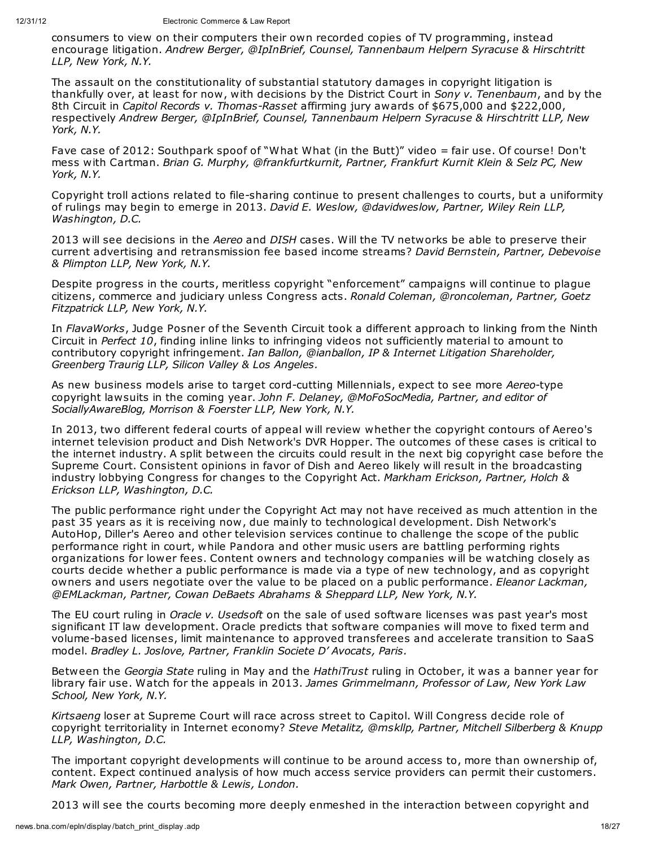consumers to view on their computers their own recorded copies of TV programming, instead encourage litigation. *Andrew Berger, @IpInBrief, Counsel, Tannenbaum Helpern Syracuse & Hirschtritt LLP, New York, N.Y.*

The assault on the constitutionality of substantial statutory damages in copyright litigation is thankfully over, at least for now, with decisions by the District Court in *Sony v. Tenenbaum*, and by the 8th Circuit in *Capitol Records v. Thomas-Rasset* affirming jury awards of \$675,000 and \$222,000, respectively *Andrew Berger, @IpInBrief, Counsel, Tannenbaum Helpern Syracuse & Hirschtritt LLP, New York, N.Y.*

Fave case of 2012: Southpark spoof of "What What (in the Butt)" video = fair use. Of course! Don't mess with Cartman. *Brian G. Murphy, @frankfurtkurnit, Partner, Frankfurt Kurnit Klein & Selz PC, New York, N.Y.*

Copyright troll actions related to file-sharing continue to present challenges to courts, but a uniformity of rulings may begin to emerge in 2013. *David E. Weslow, @davidweslow, Partner, Wiley Rein LLP, Washington, D.C.*

2013 will see decisions in the *Aereo* and *DISH* cases. Will the TV networks be able to preserve their current advertising and retransmission fee based income streams? *David Bernstein, Partner, Debevoise & Plimpton LLP, New York, N.Y.*

Despite progress in the courts, meritless copyright "enforcement" campaigns will continue to plague citizens, commerce and judiciary unless Congress acts. *Ronald Coleman, @roncoleman, Partner, Goetz Fitzpatrick LLP, New York, N.Y.*

In *FlavaWorks*, Judge Posner of the Seventh Circuit took a different approach to linking from the Ninth Circuit in *Perfect 10*, finding inline links to infringing videos not sufficiently material to amount to contributory copyright infringement. *Ian Ballon, @ianballon, IP & Internet Litigation Shareholder, Greenberg Traurig LLP, Silicon Valley & Los Angeles.*

As new business models arise to target cord-cutting Millennials, expect to see more *Aereo*-type copyright lawsuits in the coming year. *John F. Delaney, @MoFoSocMedia, Partner, and editor of SociallyAwareBlog, Morrison & Foerster LLP, New York, N.Y.*

In 2013, two different federal courts of appeal will review whether the copyright contours of Aereo's internet television product and Dish Network's DVR Hopper. The outcomes of these cases is critical to the internet industry. A split between the circuits could result in the next big copyright case before the Supreme Court. Consistent opinions in favor of Dish and Aereo likely will result in the broadcasting industry lobbying Congress for changes to the Copyright Act. *Markham Erickson, Partner, Holch & Erickson LLP, Washington, D.C.*

The public performance right under the Copyright Act may not have received as much attention in the past 35 years as it is receiving now, due mainly to technological development. Dish Network's AutoHop, Diller's Aereo and other television services continue to challenge the scope of the public performance right in court, while Pandora and other music users are battling performing rights organizations for lower fees. Content owners and technology companies will be watching closely as courts decide whether a public performance is made via a type of new technology, and as copyright owners and users negotiate over the value to be placed on a public performance. *Eleanor Lackman, @EMLackman, Partner, Cowan DeBaets Abrahams & Sheppard LLP, New York, N.Y.*

The EU court ruling in *Oracle v. Usedsoft* on the sale of used software licenses was past year's most significant IT law development. Oracle predicts that software companies will move to fixed term and volume-based licenses, limit maintenance to approved transferees and accelerate transition to SaaS model. *Bradley L. Joslove, Partner, Franklin Societe D' Avocats, Paris.*

Between the *Georgia State* ruling in May and the *HathiTrust* ruling in October, it was a banner year for library fair use. Watch for the appeals in 2013. *James Grimmelmann, Professor of Law, New York Law School, New York, N.Y.*

*Kirtsaeng* loser at Supreme Court will race across street to Capitol. Will Congress decide role of copyright territoriality in Internet economy? *Steve Metalitz, @mskllp, Partner, Mitchell Silberberg & Knupp LLP, Washington, D.C.*

The important copyright developments will continue to be around access to, more than ownership of, content. Expect continued analysis of how much access service providers can permit their customers. *Mark Owen, Partner, Harbottle & Lewis, London.*

2013 will see the courts becoming more deeply enmeshed in the interaction between copyright and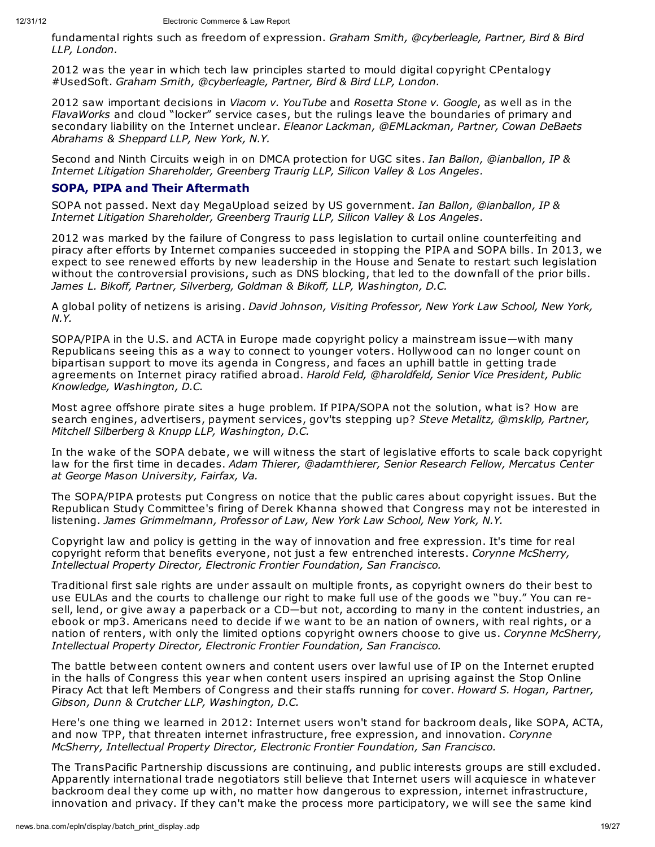fundamental rights such as freedom of expression. *Graham Smith, @cyberleagle, Partner, Bird & Bird LLP, London.*

2012 was the year in which tech law principles started to mould digital copyright CPentalogy #UsedSoft. *Graham Smith, @cyberleagle, Partner, Bird & Bird LLP, London.*

2012 saw important decisions in *Viacom v. YouTube* and *Rosetta Stone v. Google*, as well as in the *FlavaWorks* and cloud "locker" service cases, but the rulings leave the boundaries of primary and secondary liability on the Internet unclear. *Eleanor Lackman, @EMLackman, Partner, Cowan DeBaets Abrahams & Sheppard LLP, New York, N.Y.*

Second and Ninth Circuits weigh in on DMCA protection for UGC sites. *Ian Ballon, @ianballon, IP & Internet Litigation Shareholder, Greenberg Traurig LLP, Silicon Valley & Los Angeles.*

## **SOPA, PIPA and Their Aftermath**

SOPA not passed. Next day MegaUpload seized by US government. *Ian Ballon, @ianballon, IP & Internet Litigation Shareholder, Greenberg Traurig LLP, Silicon Valley & Los Angeles.*

2012 was marked by the failure of Congress to pass legislation to curtail online counterfeiting and piracy after efforts by Internet companies succeeded in stopping the PIPA and SOPA bills. In 2013, we expect to see renewed efforts by new leadership in the House and Senate to restart such legislation without the controversial provisions, such as DNS blocking, that led to the downfall of the prior bills. *James L. Bikoff, Partner, Silverberg, Goldman & Bikoff, LLP, Washington, D.C.*

A global polity of netizens is arising. *David Johnson, Visiting Professor, New York Law School, New York, N.Y.*

SOPA/PIPA in the U.S. and ACTA in Europe made copyright policy a mainstream issue—with many Republicans seeing this as a way to connect to younger voters. Hollywood can no longer count on bipartisan support to move its agenda in Congress, and faces an uphill battle in getting trade agreements on Internet piracy ratified abroad. *Harold Feld, @haroldfeld, Senior Vice President, Public Knowledge, Washington, D.C.*

Most agree offshore pirate sites a huge problem. If PIPA/SOPA not the solution, what is? How are search engines, advertisers, payment services, gov'ts stepping up? *Steve Metalitz, @mskllp, Partner, Mitchell Silberberg & Knupp LLP, Washington, D.C.*

In the wake of the SOPA debate, we will witness the start of legislative efforts to scale back copyright law for the first time in decades. *Adam Thierer, @adamthierer, Senior Research Fellow, Mercatus Center at George Mason University, Fairfax, Va.*

The SOPA/PIPA protests put Congress on notice that the public cares about copyright issues. But the Republican Study Committee's firing of Derek Khanna showed that Congress may not be interested in listening. *James Grimmelmann, Professor of Law, New York Law School, New York, N.Y.*

Copyright law and policy is getting in the way of innovation and free expression. It's time for real copyright reform that benefits everyone, not just a few entrenched interests. *Corynne McSherry, Intellectual Property Director, Electronic Frontier Foundation, San Francisco.*

Traditional first sale rights are under assault on multiple fronts, as copyright owners do their best to use EULAs and the courts to challenge our right to make full use of the goods we "buy." You can resell, lend, or give away a paperback or a CD—but not, according to many in the content industries, an ebook or mp3. Americans need to decide if we want to be an nation of owners, with real rights, or a nation of renters, with only the limited options copyright owners choose to give us. *Corynne McSherry, Intellectual Property Director, Electronic Frontier Foundation, San Francisco.*

The battle between content owners and content users over lawful use of IP on the Internet erupted in the halls of Congress this year when content users inspired an uprising against the Stop Online Piracy Act that left Members of Congress and their staffs running for cover. *Howard S. Hogan, Partner, Gibson, Dunn & Crutcher LLP, Washington, D.C.*

Here's one thing we learned in 2012: Internet users won't stand for backroom deals, like SOPA, ACTA, and now TPP, that threaten internet infrastructure, free expression, and innovation. *Corynne McSherry, Intellectual Property Director, Electronic Frontier Foundation, San Francisco.*

The TransPacific Partnership discussions are continuing, and public interests groups are still excluded. Apparently international trade negotiators still believe that Internet users will acquiesce in whatever backroom deal they come up with, no matter how dangerous to expression, internet infrastructure, innovation and privacy. If they can't make the process more participatory, we will see the same kind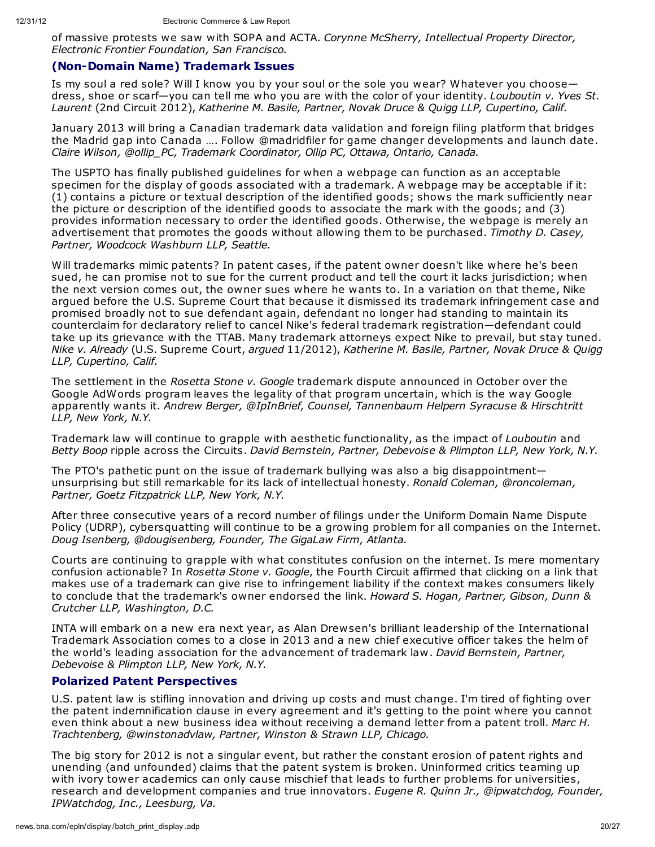of massive protests we saw with SOPA and ACTA. *Corynne McSherry, Intellectual Property Director, Electronic Frontier Foundation, San Francisco.*

#### **(Non-Domain Name) Trademark Issues**

Is my soul a red sole? Will I know you by your soul or the sole you wear? Whatever you choose dress, shoe or scarf—you can tell me who you are with the color of your identity. *Louboutin v. Yves St. Laurent* (2nd Circuit 2012), *Katherine M. Basile, Partner, Novak Druce & Quigg LLP, Cupertino, Calif.*

January 2013 will bring a Canadian trademark data validation and foreign filing platform that bridges the Madrid gap into Canada …. Follow @madridfiler for game changer developments and launch date. *Claire Wilson, @ollip\_PC, Trademark Coordinator, Ollip PC, Ottawa, Ontario, Canada.*

The USPTO has finally published guidelines for when a webpage can function as an acceptable specimen for the display of goods associated with a trademark. A webpage may be acceptable if it: (1) contains a picture or textual description of the identified goods; shows the mark sufficiently near the picture or description of the identified goods to associate the mark with the goods; and (3) provides information necessary to order the identified goods. Otherwise, the webpage is merely an advertisement that promotes the goods without allowing them to be purchased. *Timothy D. Casey, Partner, Woodcock Washburn LLP, Seattle.*

Will trademarks mimic patents? In patent cases, if the patent owner doesn't like where he's been sued, he can promise not to sue for the current product and tell the court it lacks jurisdiction; when the next version comes out, the owner sues where he wants to. In a variation on that theme, Nike argued before the U.S. Supreme Court that because it dismissed its trademark infringement case and promised broadly not to sue defendant again, defendant no longer had standing to maintain its counterclaim for declaratory relief to cancel Nike's federal trademark registration—defendant could take up its grievance with the TTAB. Many trademark attorneys expect Nike to prevail, but stay tuned. *Nike v. Already* (U.S. Supreme Court, *argued* 11/2012), *Katherine M. Basile, Partner, Novak Druce & Quigg LLP, Cupertino, Calif.*

The settlement in the *Rosetta Stone v. Google* trademark dispute announced in October over the Google AdWords program leaves the legality of that program uncertain, which is the way Google apparently wants it. *Andrew Berger, @IpInBrief, Counsel, Tannenbaum Helpern Syracuse & Hirschtritt LLP, New York, N.Y.*

Trademark law will continue to grapple with aesthetic functionality, as the impact of *Louboutin* and *Betty Boop* ripple across the Circuits. *David Bernstein, Partner, Debevoise & Plimpton LLP, New York, N.Y.*

The PTO's pathetic punt on the issue of trademark bullying was also a big disappointment unsurprising but still remarkable for its lack of intellectual honesty. *Ronald Coleman, @roncoleman, Partner, Goetz Fitzpatrick LLP, New York, N.Y.*

After three consecutive years of a record number of filings under the Uniform Domain Name Dispute Policy (UDRP), cybersquatting will continue to be a growing problem for all companies on the Internet. *Doug Isenberg, @dougisenberg, Founder, The GigaLaw Firm, Atlanta.*

Courts are continuing to grapple with what constitutes confusion on the internet. Is mere momentary confusion actionable? In *Rosetta Stone v. Google*, the Fourth Circuit affirmed that clicking on a link that makes use of a trademark can give rise to infringement liability if the context makes consumers likely to conclude that the trademark's owner endorsed the link. *Howard S. Hogan, Partner, Gibson, Dunn & Crutcher LLP, Washington, D.C.*

INTA will embark on a new era next year, as Alan Drewsen's brilliant leadership of the International Trademark Association comes to a close in 2013 and a new chief executive officer takes the helm of the world's leading association for the advancement of trademark law. *David Bernstein, Partner, Debevoise & Plimpton LLP, New York, N.Y.*

## **Polarized Patent Perspectives**

U.S. patent law is stifling innovation and driving up costs and must change. I'm tired of fighting over the patent indemnification clause in every agreement and it's getting to the point where you cannot even think about a new business idea without receiving a demand letter from a patent troll. *Marc H. Trachtenberg, @winstonadvlaw, Partner, Winston & Strawn LLP, Chicago.*

The big story for 2012 is not a singular event, but rather the constant erosion of patent rights and unending (and unfounded) claims that the patent system is broken. Uninformed critics teaming up with ivory tower academics can only cause mischief that leads to further problems for universities, research and development companies and true innovators. *Eugene R. Quinn Jr., @ipwatchdog, Founder, IPWatchdog, Inc., Leesburg, Va.*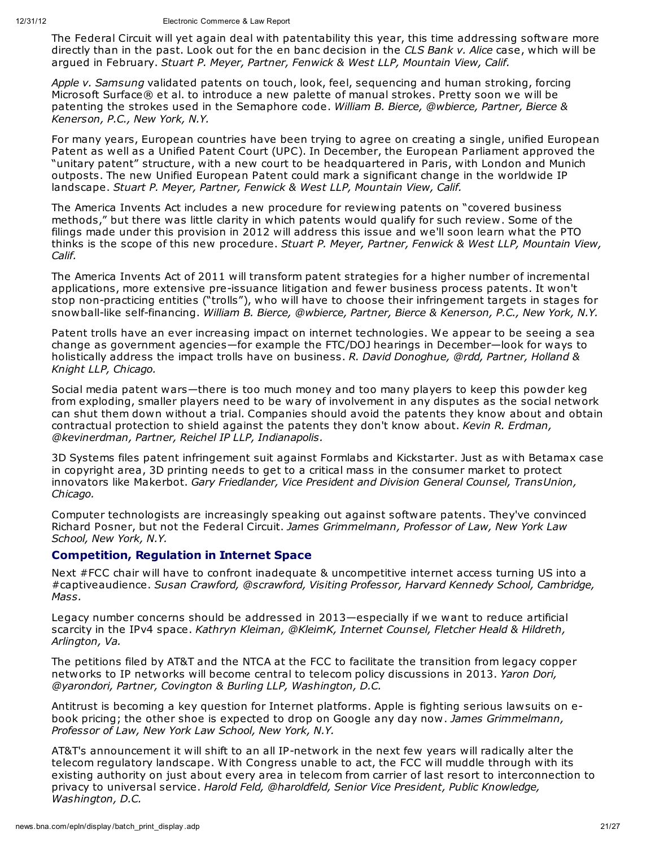The Federal Circuit will yet again deal with patentability this year, this time addressing software more directly than in the past. Look out for the en banc decision in the *CLS Bank v. Alice* case, which will be argued in February. *Stuart P. Meyer, Partner, Fenwick & West LLP, Mountain View, Calif.*

*Apple v. Samsung* validated patents on touch, look, feel, sequencing and human stroking, forcing Microsoft Surface® et al. to introduce a new palette of manual strokes. Pretty soon we will be patenting the strokes used in the Semaphore code. *William B. Bierce, @wbierce, Partner, Bierce & Kenerson, P.C., New York, N.Y.*

For many years, European countries have been trying to agree on creating a single, unified European Patent as well as a Unified Patent Court (UPC). In December, the European Parliament approved the "unitary patent" structure, with a new court to be headquartered in Paris, with London and Munich outposts. The new Unified European Patent could mark a significant change in the worldwide IP landscape. *Stuart P. Meyer, Partner, Fenwick & West LLP, Mountain View, Calif.*

The America Invents Act includes a new procedure for reviewing patents on "covered business methods," but there was little clarity in which patents would qualify for such review. Some of the filings made under this provision in 2012 will address this issue and we'll soon learn what the PTO thinks is the scope of this new procedure. *Stuart P. Meyer, Partner, Fenwick & West LLP, Mountain View, Calif.*

The America Invents Act of 2011 will transform patent strategies for a higher number of incremental applications, more extensive pre-issuance litigation and fewer business process patents. It won't stop non-practicing entities ("trolls"), who will have to choose their infringement targets in stages for snowball-like self-financing. *William B. Bierce, @wbierce, Partner, Bierce & Kenerson, P.C., New York, N.Y.*

Patent trolls have an ever increasing impact on internet technologies. We appear to be seeing a sea change as government agencies—for example the FTC/DOJ hearings in December—look for ways to holistically address the impact trolls have on business. *R. David Donoghue, @rdd, Partner, Holland & Knight LLP, Chicago.*

Social media patent wars—there is too much money and too many players to keep this powder keg from exploding, smaller players need to be wary of involvement in any disputes as the social network can shut them down without a trial. Companies should avoid the patents they know about and obtain contractual protection to shield against the patents they don't know about. *Kevin R. Erdman, @kevinerdman, Partner, Reichel IP LLP, Indianapolis.*

3D Systems files patent infringement suit against Formlabs and Kickstarter. Just as with Betamax case in copyright area, 3D printing needs to get to a critical mass in the consumer market to protect innovators like Makerbot. *Gary Friedlander, Vice President and Division General Counsel, TransUnion, Chicago.*

Computer technologists are increasingly speaking out against software patents. They've convinced Richard Posner, but not the Federal Circuit. *James Grimmelmann, Professor of Law, New York Law School, New York, N.Y.*

## **Competition, Regulation in Internet Space**

Next #FCC chair will have to confront inadequate & uncompetitive internet access turning US into a #captiveaudience. *Susan Crawford, @scrawford, Visiting Professor, Harvard Kennedy School, Cambridge, Mass.*

Legacy number concerns should be addressed in 2013—especially if we want to reduce artificial scarcity in the IPv4 space. *Kathryn Kleiman, @KleimK, Internet Counsel, Fletcher Heald & Hildreth, Arlington, Va.*

The petitions filed by AT&T and the NTCA at the FCC to facilitate the transition from legacy copper networks to IP networks will become central to telecom policy discussions in 2013. *Yaron Dori, @yarondori, Partner, Covington & Burling LLP, Washington, D.C.*

Antitrust is becoming a key question for Internet platforms. Apple is fighting serious lawsuits on ebook pricing; the other shoe is expected to drop on Google any day now. *James Grimmelmann, Professor of Law, New York Law School, New York, N.Y.*

AT&T's announcement it will shift to an all IP-network in the next few years will radically alter the telecom regulatory landscape. With Congress unable to act, the FCC will muddle through with its existing authority on just about every area in telecom from carrier of last resort to interconnection to privacy to universal service. *Harold Feld, @haroldfeld, Senior Vice President, Public Knowledge, Washington, D.C.*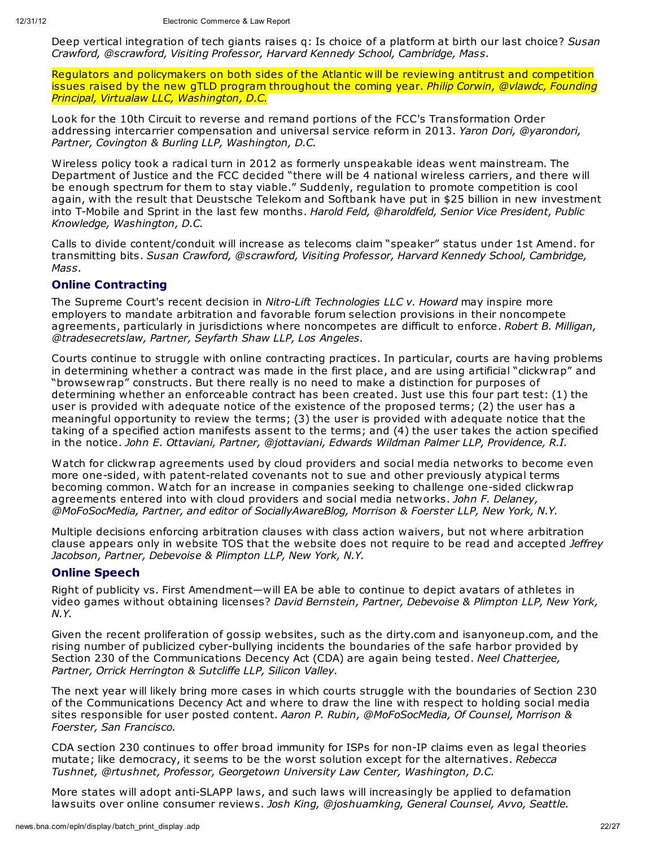Deep vertical integration of tech giants raises q: Is choice of a platform at birth our last choice? *Susan Crawford, @scrawford, Visiting Professor, Harvard Kennedy School, Cambridge, Mass.*

Regulators and policymakers on both sides of the Atlantic will be reviewing antitrust and competition issues raised by the new gTLD program throughout the coming year. *Philip Corwin, @vlawdc, Founding Principal, Virtualaw LLC, Washington, D.C.*

Look for the 10th Circuit to reverse and remand portions of the FCC's Transformation Order addressing intercarrier compensation and universal service reform in 2013. *Yaron Dori, @yarondori, Partner, Covington & Burling LLP, Washington, D.C.*

Wireless policy took a radical turn in 2012 as formerly unspeakable ideas went mainstream. The Department of Justice and the FCC decided "there will be 4 national wireless carriers, and there will be enough spectrum for them to stay viable." Suddenly, regulation to promote competition is cool again, with the result that Deustsche Telekom and Softbank have put in \$25 billion in new investment into T-Mobile and Sprint in the last few months. *Harold Feld, @haroldfeld, Senior Vice President, Public Knowledge, Washington, D.C.*

Calls to divide content/conduit will increase as telecoms claim "speaker" status under 1st Amend. for transmitting bits. *Susan Crawford, @scrawford, Visiting Professor, Harvard Kennedy School, Cambridge, Mass.*

# **Online Contracting**

The Supreme Court's recent decision in *Nitro-Lift Technologies LLC v. Howard* may inspire more employers to mandate arbitration and favorable forum selection provisions in their noncompete agreements, particularly in jurisdictions where noncompetes are difficult to enforce. *Robert B. Milligan, @tradesecretslaw, Partner, Seyfarth Shaw LLP, Los Angeles.*

Courts continue to struggle with online contracting practices. In particular, courts are having problems in determining whether a contract was made in the first place, and are using artificial "clickwrap" and "browsewrap" constructs. But there really is no need to make a distinction for purposes of determining whether an enforceable contract has been created. Just use this four part test: (1) the user is provided with adequate notice of the existence of the proposed terms; (2) the user has a meaningful opportunity to review the terms; (3) the user is provided with adequate notice that the taking of a specified action manifests assent to the terms; and (4) the user takes the action specified in the notice. *John E. Ottaviani, Partner, @jottaviani, Edwards Wildman Palmer LLP, Providence, R.I.*

Watch for clickwrap agreements used by cloud providers and social media networks to become even more one-sided, with patent-related covenants not to sue and other previously atypical terms becoming common. Watch for an increase in companies seeking to challenge one-sided clickwrap agreements entered into with cloud providers and social media networks. *John F. Delaney, @MoFoSocMedia, Partner, and editor of SociallyAwareBlog, Morrison & Foerster LLP, New York, N.Y.*

Multiple decisions enforcing arbitration clauses with class action waivers, but not where arbitration clause appears only in website TOS that the website does not require to be read and accepted *Jeffrey Jacobson, Partner, Debevoise & Plimpton LLP, New York, N.Y.*

## **Online Speech**

Right of publicity vs. First Amendment—will EA be able to continue to depict avatars of athletes in video games without obtaining licenses? *David Bernstein, Partner, Debevoise & Plimpton LLP, New York, N.Y.*

Given the recent proliferation of gossip websites, such as the dirty.com and isanyoneup.com, and the rising number of publicized cyber-bullying incidents the boundaries of the safe harbor provided by Section 230 of the Communications Decency Act (CDA) are again being tested. *Neel Chatterjee, Partner, Orrick Herrington & Sutcliffe LLP, Silicon Valley.*

The next year will likely bring more cases in which courts struggle with the boundaries of Section 230 of the Communications Decency Act and where to draw the line with respect to holding social media sites responsible for user posted content. *Aaron P. Rubin, @MoFoSocMedia, Of Counsel, Morrison & Foerster, San Francisco.*

CDA section 230 continues to offer broad immunity for ISPs for non-IP claims even as legal theories mutate; like democracy, it seems to be the worst solution except for the alternatives. *Rebecca Tushnet, @rtushnet, Professor, Georgetown University Law Center, Washington, D.C.*

More states will adopt anti-SLAPP laws, and such laws will increasingly be applied to defamation lawsuits over online consumer reviews. *Josh King, @joshuamking, General Counsel, Avvo, Seattle.*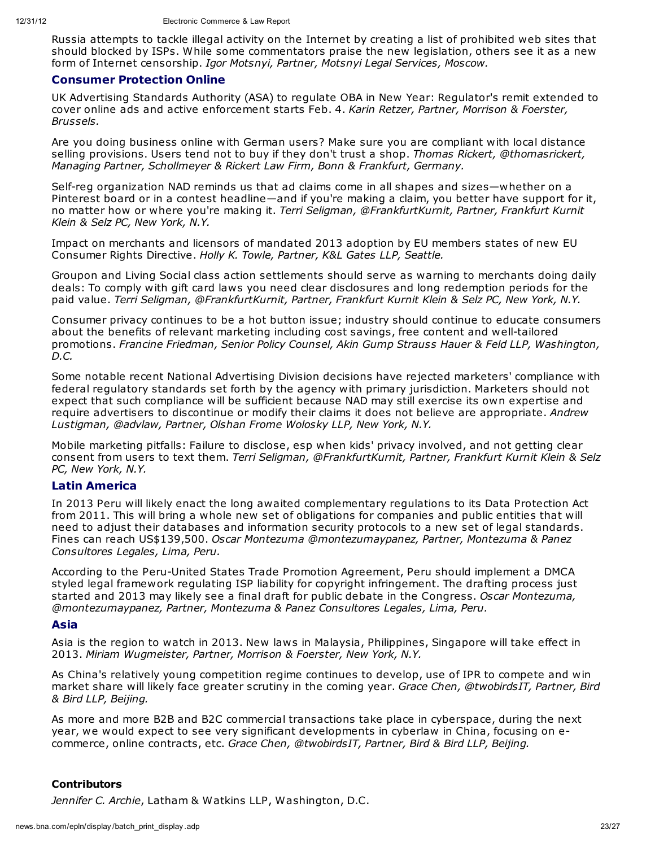Russia attempts to tackle illegal activity on the Internet by creating a list of prohibited web sites that should blocked by ISPs. While some commentators praise the new legislation, others see it as a new form of Internet censorship. *Igor Motsnyi, Partner, Motsnyi Legal Services, Moscow.*

#### **Consumer Protection Online**

UK Advertising Standards Authority (ASA) to regulate OBA in New Year: Regulator's remit extended to cover online ads and active enforcement starts Feb. 4. *Karin Retzer, Partner, Morrison & Foerster, Brussels.*

Are you doing business online with German users? Make sure you are compliant with local distance selling provisions. Users tend not to buy if they don't trust a shop. *Thomas Rickert, @thomasrickert, Managing Partner, Schollmeyer & Rickert Law Firm, Bonn & Frankfurt, Germany.*

Self-reg organization NAD reminds us that ad claims come in all shapes and sizes—whether on a Pinterest board or in a contest headline—and if you're making a claim, you better have support for it, no matter how or where you're making it. *Terri Seligman, @FrankfurtKurnit, Partner, Frankfurt Kurnit Klein & Selz PC, New York, N.Y.*

Impact on merchants and licensors of mandated 2013 adoption by EU members states of new EU Consumer Rights Directive. *Holly K. Towle, Partner, K&L Gates LLP, Seattle.*

Groupon and Living Social class action settlements should serve as warning to merchants doing daily deals: To comply with gift card laws you need clear disclosures and long redemption periods for the paid value. *Terri Seligman, @FrankfurtKurnit, Partner, Frankfurt Kurnit Klein & Selz PC, New York, N.Y.*

Consumer privacy continues to be a hot button issue; industry should continue to educate consumers about the benefits of relevant marketing including cost savings, free content and well-tailored promotions. *Francine Friedman, Senior Policy Counsel, Akin Gump Strauss Hauer & Feld LLP, Washington, D.C.*

Some notable recent National Advertising Division decisions have rejected marketers' compliance with federal regulatory standards set forth by the agency with primary jurisdiction. Marketers should not expect that such compliance will be sufficient because NAD may still exercise its own expertise and require advertisers to discontinue or modify their claims it does not believe are appropriate. *Andrew Lustigman, @advlaw, Partner, Olshan Frome Wolosky LLP, New York, N.Y.*

Mobile marketing pitfalls: Failure to disclose, esp when kids' privacy involved, and not getting clear consent from users to text them. *Terri Seligman, @FrankfurtKurnit, Partner, Frankfurt Kurnit Klein & Selz PC, New York, N.Y.*

#### **Latin America**

In 2013 Peru will likely enact the long awaited complementary regulations to its Data Protection Act from 2011. This will bring a whole new set of obligations for companies and public entities that will need to adjust their databases and information security protocols to a new set of legal standards. Fines can reach US\$139,500. *Oscar Montezuma @montezumaypanez, Partner, Montezuma & Panez Consultores Legales, Lima, Peru.*

According to the Peru-United States Trade Promotion Agreement, Peru should implement a DMCA styled legal framework regulating ISP liability for copyright infringement. The drafting process just started and 2013 may likely see a final draft for public debate in the Congress. *Oscar Montezuma, @montezumaypanez, Partner, Montezuma & Panez Consultores Legales, Lima, Peru.*

#### **Asia**

Asia is the region to watch in 2013. New laws in Malaysia, Philippines, Singapore will take effect in 2013. *Miriam Wugmeister, Partner, Morrison & Foerster, New York, N.Y.*

As China's relatively young competition regime continues to develop, use of IPR to compete and win market share will likely face greater scrutiny in the coming year. *Grace Chen, @twobirdsIT, Partner, Bird & Bird LLP, Beijing.*

As more and more B2B and B2C commercial transactions take place in cyberspace, during the next year, we would expect to see very significant developments in cyberlaw in China, focusing on ecommerce, online contracts, etc. *Grace Chen, @twobirdsIT, Partner, Bird & Bird LLP, Beijing.*

#### **Contributors**

*Jennifer C. Archie*, Latham & Watkins LLP, Washington, D.C.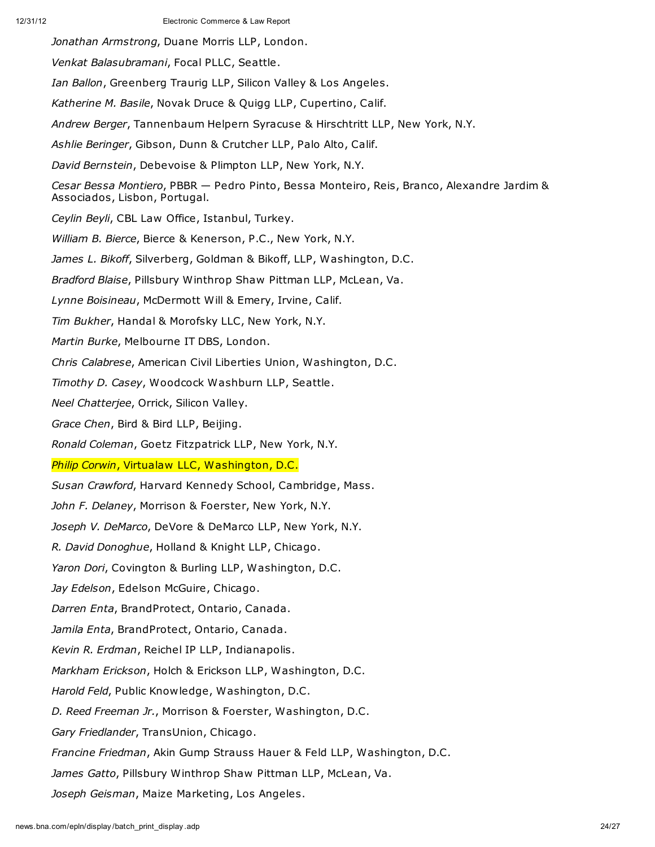*Jonathan Armstrong*, Duane Morris LLP, London. *Venkat Balasubramani*, Focal PLLC, Seattle. *Ian Ballon*, Greenberg Traurig LLP, Silicon Valley & Los Angeles. *Katherine M. Basile*, Novak Druce & Quigg LLP, Cupertino, Calif. *Andrew Berger*, Tannenbaum Helpern Syracuse & Hirschtritt LLP, New York, N.Y. *Ashlie Beringer*, Gibson, Dunn & Crutcher LLP, Palo Alto, Calif. *David Bernstein*, Debevoise & Plimpton LLP, New York, N.Y. *Cesar Bessa Montiero*, PBBR — Pedro Pinto, Bessa Monteiro, Reis, Branco, Alexandre Jardim & Associados, Lisbon, Portugal. *Ceylin Beyli*, CBL Law Office, Istanbul, Turkey. *William B. Bierce*, Bierce & Kenerson, P.C., New York, N.Y. *James L. Bikoff*, Silverberg, Goldman & Bikoff, LLP, Washington, D.C. *Bradford Blaise*, Pillsbury Winthrop Shaw Pittman LLP, McLean, Va. *Lynne Boisineau*, McDermott Will & Emery, Irvine, Calif. *Tim Bukher*, Handal & Morofsky LLC, New York, N.Y. *Martin Burke*, Melbourne IT DBS, London. *Chris Calabrese*, American Civil Liberties Union, Washington, D.C. *Timothy D. Casey*, Woodcock Washburn LLP, Seattle. *Neel Chatterjee*, Orrick, Silicon Valley. *Grace Chen*, Bird & Bird LLP, Beijing. *Ronald Coleman*, Goetz Fitzpatrick LLP, New York, N.Y. *Philip Corwin*, Virtualaw LLC, Washington, D.C. *Susan Crawford*, Harvard Kennedy School, Cambridge, Mass. *John F. Delaney*, Morrison & Foerster, New York, N.Y. *Joseph V. DeMarco*, DeVore & DeMarco LLP, New York, N.Y. *R. David Donoghue*, Holland & Knight LLP, Chicago. *Yaron Dori*, Covington & Burling LLP, Washington, D.C. *Jay Edelson*, Edelson McGuire, Chicago. *Darren Enta*, BrandProtect, Ontario, Canada. *Jamila Enta*, BrandProtect, Ontario, Canada. *Kevin R. Erdman*, Reichel IP LLP, Indianapolis. *Markham Erickson*, Holch & Erickson LLP, Washington, D.C. *Harold Feld*, Public Knowledge, Washington, D.C. *D. Reed Freeman Jr.*, Morrison & Foerster, Washington, D.C. *Gary Friedlander*, TransUnion, Chicago. *Francine Friedman*, Akin Gump Strauss Hauer & Feld LLP, Washington, D.C. *James Gatto*, Pillsbury Winthrop Shaw Pittman LLP, McLean, Va. *Joseph Geisman*, Maize Marketing, Los Angeles.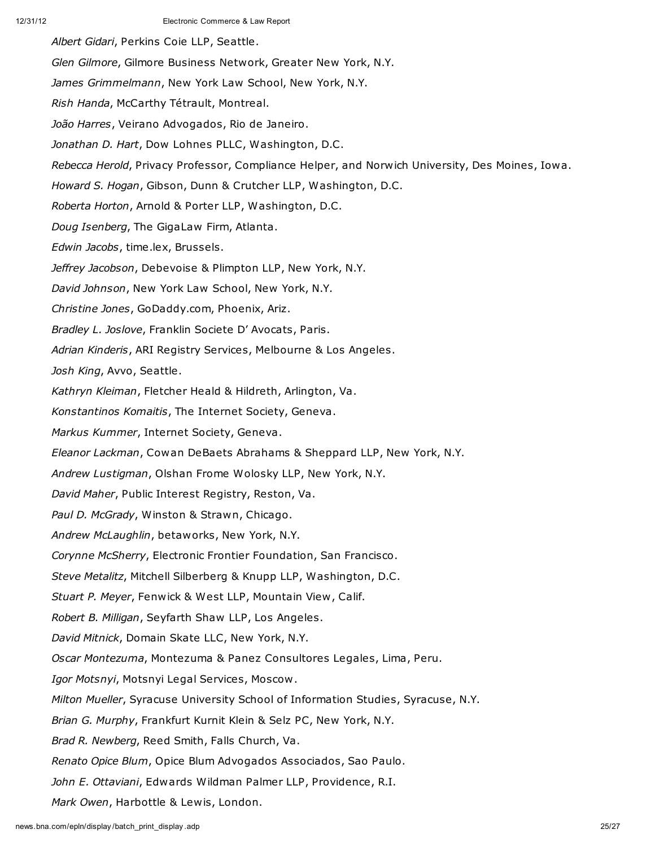*Albert Gidari*, Perkins Coie LLP, Seattle. *Glen Gilmore*, Gilmore Business Network, Greater New York, N.Y. *James Grimmelmann*, New York Law School, New York, N.Y. *Rish Handa*, McCarthy Tétrault, Montreal. *João Harres*, Veirano Advogados, Rio de Janeiro. *Jonathan D. Hart*, Dow Lohnes PLLC, Washington, D.C. *Rebecca Herold*, Privacy Professor, Compliance Helper, and Norwich University, Des Moines, Iowa. *Howard S. Hogan*, Gibson, Dunn & Crutcher LLP, Washington, D.C. *Roberta Horton*, Arnold & Porter LLP, Washington, D.C. *Doug Isenberg*, The GigaLaw Firm, Atlanta. *Edwin Jacobs*, time.lex, Brussels. *Jeffrey Jacobson*, Debevoise & Plimpton LLP, New York, N.Y. *David Johnson*, New York Law School, New York, N.Y. *Christine Jones*, GoDaddy.com, Phoenix, Ariz. *Bradley L. Joslove*, Franklin Societe D' Avocats, Paris. *Adrian Kinderis*, ARI Registry Services, Melbourne & Los Angeles. *Josh King*, Avvo, Seattle. *Kathryn Kleiman*, Fletcher Heald & Hildreth, Arlington, Va. *Konstantinos Komaitis*, The Internet Society, Geneva. *Markus Kummer*, Internet Society, Geneva. *Eleanor Lackman*, Cowan DeBaets Abrahams & Sheppard LLP, New York, N.Y. *Andrew Lustigman*, Olshan Frome Wolosky LLP, New York, N.Y. *David Maher*, Public Interest Registry, Reston, Va. *Paul D. McGrady*, Winston & Strawn, Chicago. *Andrew McLaughlin*, betaworks, New York, N.Y. *Corynne McSherry*, Electronic Frontier Foundation, San Francisco. *Steve Metalitz*, Mitchell Silberberg & Knupp LLP, Washington, D.C. *Stuart P. Meyer*, Fenwick & West LLP, Mountain View, Calif. *Robert B. Milligan*, Seyfarth Shaw LLP, Los Angeles. *David Mitnick*, Domain Skate LLC, New York, N.Y. *Oscar Montezuma*, Montezuma & Panez Consultores Legales, Lima, Peru. *Igor Motsnyi*, Motsnyi Legal Services, Moscow. *Milton Mueller*, Syracuse University School of Information Studies, Syracuse, N.Y. *Brian G. Murphy*, Frankfurt Kurnit Klein & Selz PC, New York, N.Y. *Brad R. Newberg*, Reed Smith, Falls Church, Va. *Renato Opice Blum*, Opice Blum Advogados Associados, Sao Paulo. *John E. Ottaviani*, Edwards Wildman Palmer LLP, Providence, R.I.

*Mark Owen*, Harbottle & Lewis, London.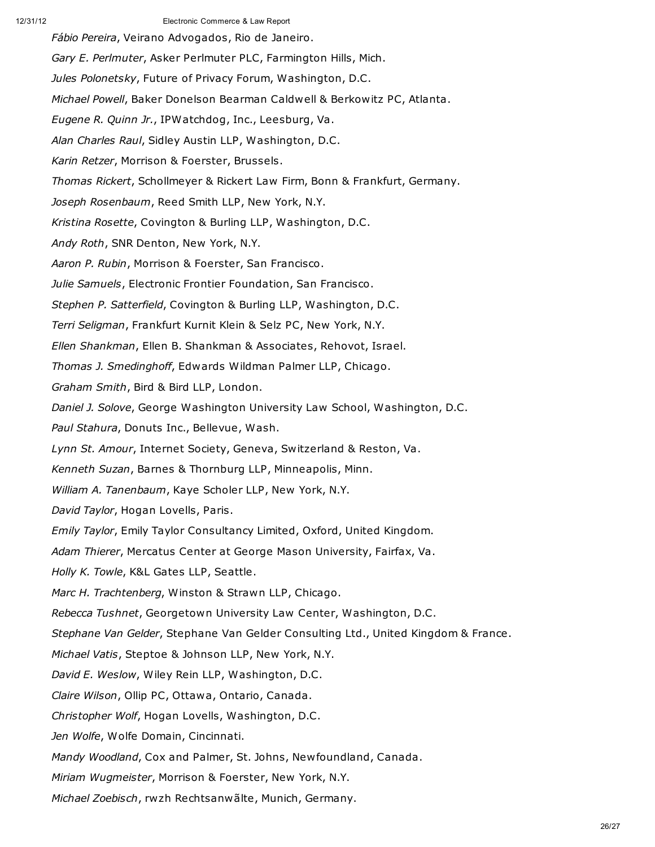*Fábio Pereira*, Veirano Advogados, Rio de Janeiro. *Gary E. Perlmuter*, Asker Perlmuter PLC, Farmington Hills, Mich. *Jules Polonetsky*, Future of Privacy Forum, Washington, D.C. *Michael Powell*, Baker Donelson Bearman Caldwell & Berkowitz PC, Atlanta. *Eugene R. Quinn Jr.*, IPWatchdog, Inc., Leesburg, Va. *Alan Charles Raul*, Sidley Austin LLP, Washington, D.C. *Karin Retzer*, Morrison & Foerster, Brussels. *Thomas Rickert*, Schollmeyer & Rickert Law Firm, Bonn & Frankfurt, Germany. *Joseph Rosenbaum*, Reed Smith LLP, New York, N.Y. *Kristina Rosette*, Covington & Burling LLP, Washington, D.C. *Andy Roth*, SNR Denton, New York, N.Y. *Aaron P. Rubin*, Morrison & Foerster, San Francisco. *Julie Samuels*, Electronic Frontier Foundation, San Francisco. *Stephen P. Satterfield*, Covington & Burling LLP, Washington, D.C. *Terri Seligman*, Frankfurt Kurnit Klein & Selz PC, New York, N.Y. *Ellen Shankman*, Ellen B. Shankman & Associates, Rehovot, Israel. *Thomas J. Smedinghoff*, Edwards Wildman Palmer LLP, Chicago. *Graham Smith*, Bird & Bird LLP, London. *Daniel J. Solove*, George Washington University Law School, Washington, D.C. *Paul Stahura*, Donuts Inc., Bellevue, Wash. *Lynn St. Amour*, Internet Society, Geneva, Switzerland & Reston, Va. *Kenneth Suzan*, Barnes & Thornburg LLP, Minneapolis, Minn. *William A. Tanenbaum*, Kaye Scholer LLP, New York, N.Y. *David Taylor*, Hogan Lovells, Paris. *Emily Taylor*, Emily Taylor Consultancy Limited, Oxford, United Kingdom. *Adam Thierer*, Mercatus Center at George Mason University, Fairfax, Va. *Holly K. Towle*, K&L Gates LLP, Seattle. *Marc H. Trachtenberg*, Winston & Strawn LLP, Chicago. *Rebecca Tushnet*, Georgetown University Law Center, Washington, D.C. *Stephane Van Gelder*, Stephane Van Gelder Consulting Ltd., United Kingdom & France. *Michael Vatis*, Steptoe & Johnson LLP, New York, N.Y. *David E. Weslow*, Wiley Rein LLP, Washington, D.C. *Claire Wilson*, Ollip PC, Ottawa, Ontario, Canada. *Christopher Wolf*, Hogan Lovells, Washington, D.C. *Jen Wolfe*, Wolfe Domain, Cincinnati. *Mandy Woodland*, Cox and Palmer, St. Johns, Newfoundland, Canada. *Miriam Wugmeister*, Morrison & Foerster, New York, N.Y. *Michael Zoebisch*, rwzh Rechtsanwãlte, Munich, Germany.